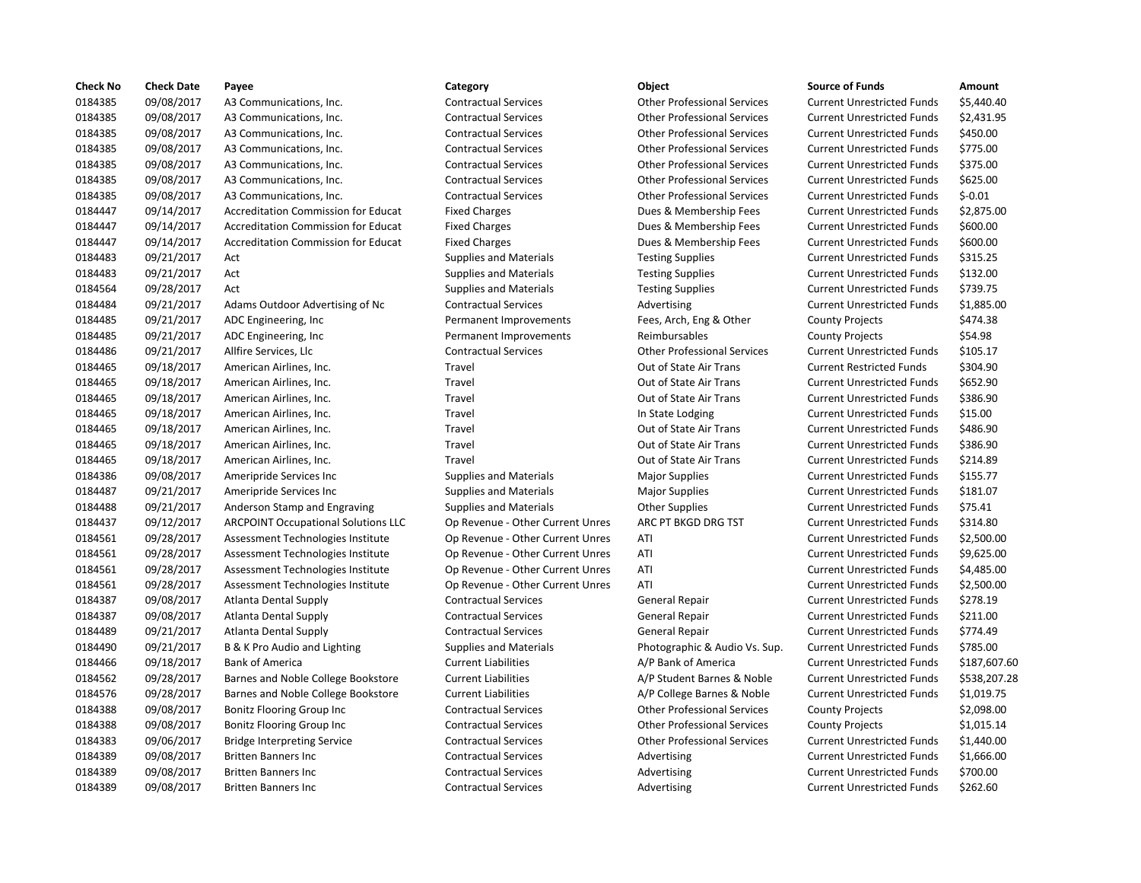| <b>Check No</b> | <b>Check Date</b> | Payee                                      | Category                         | Object                             | <b>Source of Funds</b>            | Amount    |
|-----------------|-------------------|--------------------------------------------|----------------------------------|------------------------------------|-----------------------------------|-----------|
| 0184385         | 09/08/2017        | A3 Communications, Inc.                    | <b>Contractual Services</b>      | <b>Other Professional Services</b> | <b>Current Unrestricted Funds</b> | \$5,440.4 |
| 0184385         | 09/08/2017        | A3 Communications, Inc.                    | <b>Contractual Services</b>      | <b>Other Professional Services</b> | <b>Current Unrestricted Funds</b> | \$2,431.9 |
| 0184385         | 09/08/2017        | A3 Communications, Inc.                    | <b>Contractual Services</b>      | <b>Other Professional Services</b> | <b>Current Unrestricted Funds</b> | \$450.00  |
| 0184385         | 09/08/2017        | A3 Communications, Inc.                    | <b>Contractual Services</b>      | <b>Other Professional Services</b> | <b>Current Unrestricted Funds</b> | \$775.00  |
| 0184385         | 09/08/2017        | A3 Communications, Inc.                    | <b>Contractual Services</b>      | <b>Other Professional Services</b> | <b>Current Unrestricted Funds</b> | \$375.00  |
| 0184385         | 09/08/2017        | A3 Communications, Inc.                    | <b>Contractual Services</b>      | <b>Other Professional Services</b> | <b>Current Unrestricted Funds</b> | \$625.00  |
| 0184385         | 09/08/2017        | A3 Communications, Inc.                    | <b>Contractual Services</b>      | <b>Other Professional Services</b> | <b>Current Unrestricted Funds</b> | $$-0.01$  |
| 0184447         | 09/14/2017        | <b>Accreditation Commission for Educat</b> | <b>Fixed Charges</b>             | Dues & Membership Fees             | <b>Current Unrestricted Funds</b> | \$2,875.0 |
| 0184447         | 09/14/2017        | <b>Accreditation Commission for Educat</b> | <b>Fixed Charges</b>             | Dues & Membership Fees             | <b>Current Unrestricted Funds</b> | \$600.00  |
| 0184447         | 09/14/2017        | Accreditation Commission for Educat        | <b>Fixed Charges</b>             | Dues & Membership Fees             | <b>Current Unrestricted Funds</b> | \$600.00  |
| 0184483         | 09/21/2017        | Act                                        | <b>Supplies and Materials</b>    | <b>Testing Supplies</b>            | <b>Current Unrestricted Funds</b> | \$315.25  |
| 0184483         | 09/21/2017        | Act                                        | <b>Supplies and Materials</b>    | <b>Testing Supplies</b>            | <b>Current Unrestricted Funds</b> | \$132.00  |
| 0184564         | 09/28/2017        | Act                                        | <b>Supplies and Materials</b>    | <b>Testing Supplies</b>            | <b>Current Unrestricted Funds</b> | \$739.75  |
| 0184484         | 09/21/2017        | Adams Outdoor Advertising of Nc            | <b>Contractual Services</b>      | Advertising                        | <b>Current Unrestricted Funds</b> | \$1,885.0 |
| 0184485         | 09/21/2017        | ADC Engineering, Inc.                      | Permanent Improvements           | Fees, Arch, Eng & Other            | <b>County Projects</b>            | \$474.38  |
| 0184485         | 09/21/2017        | ADC Engineering, Inc.                      | Permanent Improvements           | Reimbursables                      | <b>County Projects</b>            | \$54.98   |
| 0184486         | 09/21/2017        | Allfire Services, Llc                      | <b>Contractual Services</b>      | <b>Other Professional Services</b> | <b>Current Unrestricted Funds</b> | \$105.17  |
| 0184465         | 09/18/2017        | American Airlines, Inc.                    | Travel                           | Out of State Air Trans             | <b>Current Restricted Funds</b>   | \$304.90  |
| 0184465         | 09/18/2017        | American Airlines, Inc.                    | Travel                           | Out of State Air Trans             | <b>Current Unrestricted Funds</b> | \$652.90  |
| 0184465         | 09/18/2017        | American Airlines, Inc.                    | Travel                           | Out of State Air Trans             | <b>Current Unrestricted Funds</b> | \$386.90  |
| 0184465         | 09/18/2017        | American Airlines, Inc.                    | Travel                           | In State Lodging                   | <b>Current Unrestricted Funds</b> | \$15.00   |
| 0184465         | 09/18/2017        | American Airlines, Inc.                    | Travel                           | Out of State Air Trans             | <b>Current Unrestricted Funds</b> | \$486.90  |
| 0184465         | 09/18/2017        | American Airlines, Inc.                    | Travel                           | Out of State Air Trans             | <b>Current Unrestricted Funds</b> | \$386.90  |
| 0184465         | 09/18/2017        | American Airlines, Inc.                    | Travel                           | Out of State Air Trans             | <b>Current Unrestricted Funds</b> | \$214.89  |
| 0184386         | 09/08/2017        | Ameripride Services Inc                    | <b>Supplies and Materials</b>    | <b>Major Supplies</b>              | <b>Current Unrestricted Funds</b> | \$155.77  |
| 0184487         | 09/21/2017        | Ameripride Services Inc                    | <b>Supplies and Materials</b>    | <b>Major Supplies</b>              | <b>Current Unrestricted Funds</b> | \$181.07  |
| 0184488         | 09/21/2017        | Anderson Stamp and Engraving               | Supplies and Materials           | <b>Other Supplies</b>              | <b>Current Unrestricted Funds</b> | \$75.41   |
| 0184437         | 09/12/2017        | <b>ARCPOINT Occupational Solutions LLC</b> | Op Revenue - Other Current Unres | ARC PT BKGD DRG TST                | <b>Current Unrestricted Funds</b> | \$314.80  |
| 0184561         | 09/28/2017        | Assessment Technologies Institute          | Op Revenue - Other Current Unres | ATI                                | <b>Current Unrestricted Funds</b> | \$2,500.0 |
| 0184561         | 09/28/2017        | Assessment Technologies Institute          | Op Revenue - Other Current Unres | ATI                                | <b>Current Unrestricted Funds</b> | \$9,625.0 |
| 0184561         | 09/28/2017        | Assessment Technologies Institute          | Op Revenue - Other Current Unres | ATI                                | <b>Current Unrestricted Funds</b> | \$4,485.0 |
| 0184561         | 09/28/2017        | Assessment Technologies Institute          | Op Revenue - Other Current Unres | ATI                                | <b>Current Unrestricted Funds</b> | \$2,500.0 |
| 0184387         | 09/08/2017        | <b>Atlanta Dental Supply</b>               | <b>Contractual Services</b>      | General Repair                     | <b>Current Unrestricted Funds</b> | \$278.19  |
| 0184387         | 09/08/2017        | Atlanta Dental Supply                      | <b>Contractual Services</b>      | <b>General Repair</b>              | <b>Current Unrestricted Funds</b> | \$211.00  |
| 0184489         | 09/21/2017        | <b>Atlanta Dental Supply</b>               | <b>Contractual Services</b>      | <b>General Repair</b>              | <b>Current Unrestricted Funds</b> | \$774.49  |
| 0184490         | 09/21/2017        | B & K Pro Audio and Lighting               | <b>Supplies and Materials</b>    | Photographic & Audio Vs. Sup.      | <b>Current Unrestricted Funds</b> | \$785.00  |
| 0184466         | 09/18/2017        | <b>Bank of America</b>                     | <b>Current Liabilities</b>       | A/P Bank of America                | <b>Current Unrestricted Funds</b> | \$187,60  |
| 0184562         | 09/28/2017        | Barnes and Noble College Bookstore         | <b>Current Liabilities</b>       | A/P Student Barnes & Noble         | <b>Current Unrestricted Funds</b> | \$538,20  |
| 0184576         | 09/28/2017        | Barnes and Noble College Bookstore         | <b>Current Liabilities</b>       | A/P College Barnes & Noble         | <b>Current Unrestricted Funds</b> | \$1,019.7 |
| 0184388         | 09/08/2017        | Bonitz Flooring Group Inc                  | <b>Contractual Services</b>      | <b>Other Professional Services</b> | <b>County Projects</b>            | \$2,098.0 |
| 0184388         | 09/08/2017        | Bonitz Flooring Group Inc                  | <b>Contractual Services</b>      | <b>Other Professional Services</b> | <b>County Projects</b>            | \$1,015.1 |
| 0184383         | 09/06/2017        | <b>Bridge Interpreting Service</b>         | <b>Contractual Services</b>      | <b>Other Professional Services</b> | <b>Current Unrestricted Funds</b> | \$1,440.0 |
| 0184389         | 09/08/2017        | <b>Britten Banners Inc</b>                 | <b>Contractual Services</b>      | Advertising                        | <b>Current Unrestricted Funds</b> | \$1,666.0 |
| 0184389         | 09/08/2017        | <b>Britten Banners Inc</b>                 | <b>Contractual Services</b>      | Advertising                        | <b>Current Unrestricted Funds</b> | \$700.00  |
| 0184389         | 09/08/2017        | <b>Britten Banners Inc</b>                 | <b>Contractual Services</b>      | Advertising                        | <b>Current Unrestricted Funds</b> | \$262.60  |
|                 |                   |                                            |                                  |                                    |                                   |           |

| ۰. | I | . .<br>۰.<br>. . |
|----|---|------------------|
|    |   |                  |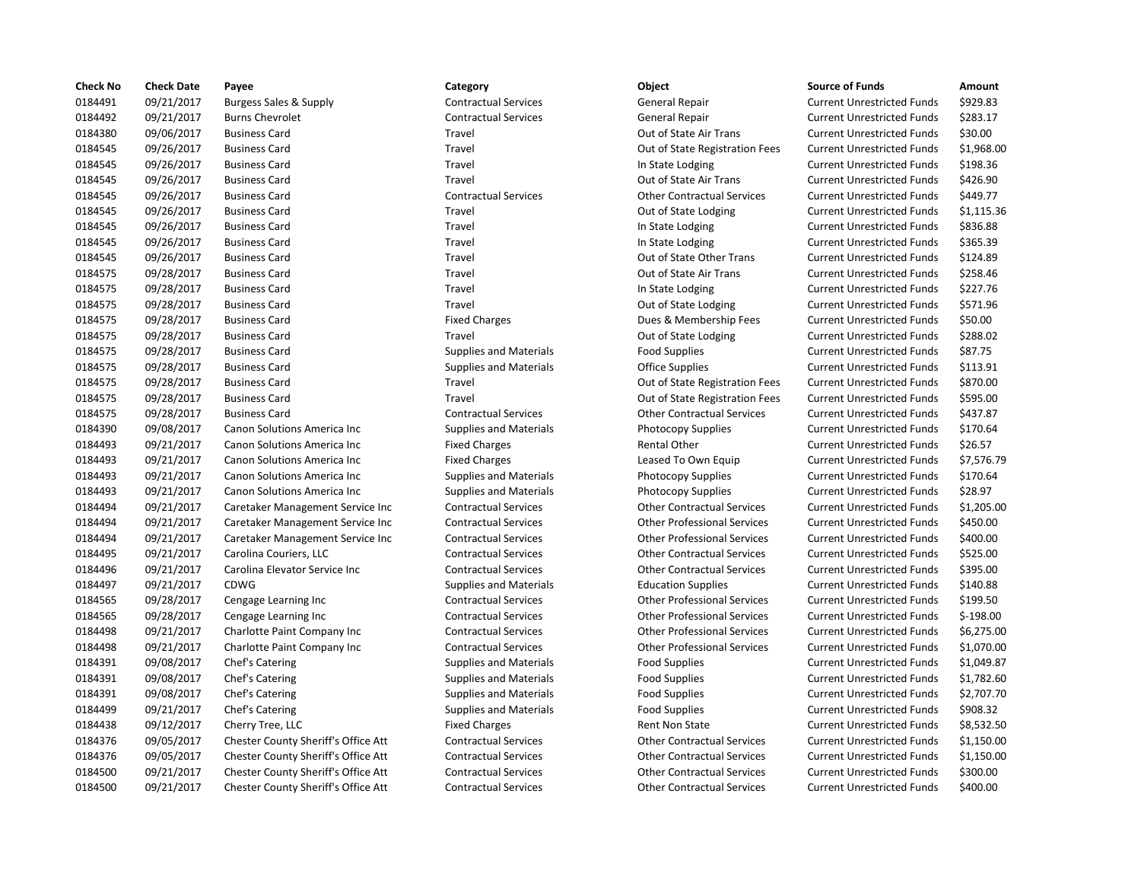| <b>Check No</b> | <b>Check Date</b> | Payee                                      | Category                      | Object                             | <b>Source of Funds</b>            | <b>Amount</b> |
|-----------------|-------------------|--------------------------------------------|-------------------------------|------------------------------------|-----------------------------------|---------------|
| 0184491         | 09/21/2017        | <b>Burgess Sales &amp; Supply</b>          | <b>Contractual Services</b>   | General Repair                     | <b>Current Unrestricted Funds</b> | \$929.83      |
| 0184492         | 09/21/2017        | <b>Burns Chevrolet</b>                     | <b>Contractual Services</b>   | <b>General Repair</b>              | <b>Current Unrestricted Funds</b> | \$283.17      |
| 0184380         | 09/06/2017        | <b>Business Card</b>                       | Travel                        | Out of State Air Trans             | <b>Current Unrestricted Funds</b> | \$30.00       |
| 0184545         | 09/26/2017        | <b>Business Card</b>                       | Travel                        | Out of State Registration Fees     | <b>Current Unrestricted Funds</b> | \$1,968.0     |
| 0184545         | 09/26/2017        | <b>Business Card</b>                       | Travel                        | In State Lodging                   | <b>Current Unrestricted Funds</b> | \$198.36      |
| 0184545         | 09/26/2017        | <b>Business Card</b>                       | Travel                        | Out of State Air Trans             | <b>Current Unrestricted Funds</b> | \$426.90      |
| 0184545         | 09/26/2017        | <b>Business Card</b>                       | <b>Contractual Services</b>   | <b>Other Contractual Services</b>  | <b>Current Unrestricted Funds</b> | \$449.77      |
| 0184545         | 09/26/2017        | <b>Business Card</b>                       | Travel                        | Out of State Lodging               | <b>Current Unrestricted Funds</b> | \$1,115.3     |
| 0184545         | 09/26/2017        | <b>Business Card</b>                       | Travel                        | In State Lodging                   | <b>Current Unrestricted Funds</b> | \$836.88      |
| 0184545         | 09/26/2017        | <b>Business Card</b>                       | Travel                        | In State Lodging                   | <b>Current Unrestricted Funds</b> | \$365.39      |
| 0184545         | 09/26/2017        | <b>Business Card</b>                       | Travel                        | Out of State Other Trans           | <b>Current Unrestricted Funds</b> | \$124.89      |
| 0184575         | 09/28/2017        | <b>Business Card</b>                       | Travel                        | Out of State Air Trans             | <b>Current Unrestricted Funds</b> | \$258.46      |
| 0184575         | 09/28/2017        | <b>Business Card</b>                       | Travel                        | In State Lodging                   | <b>Current Unrestricted Funds</b> | \$227.76      |
| 0184575         | 09/28/2017        | <b>Business Card</b>                       | Travel                        | Out of State Lodging               | <b>Current Unrestricted Funds</b> | \$571.96      |
| 0184575         | 09/28/2017        | <b>Business Card</b>                       | <b>Fixed Charges</b>          | Dues & Membership Fees             | <b>Current Unrestricted Funds</b> | \$50.00       |
| 0184575         | 09/28/2017        | <b>Business Card</b>                       | Travel                        | Out of State Lodging               | <b>Current Unrestricted Funds</b> | \$288.02      |
| 0184575         | 09/28/2017        | <b>Business Card</b>                       | <b>Supplies and Materials</b> | <b>Food Supplies</b>               | <b>Current Unrestricted Funds</b> | \$87.75       |
| 0184575         | 09/28/2017        | <b>Business Card</b>                       | <b>Supplies and Materials</b> | Office Supplies                    | <b>Current Unrestricted Funds</b> | \$113.91      |
| 0184575         | 09/28/2017        | <b>Business Card</b>                       | Travel                        | Out of State Registration Fees     | <b>Current Unrestricted Funds</b> | \$870.00      |
| 0184575         | 09/28/2017        | <b>Business Card</b>                       | Travel                        | Out of State Registration Fees     | <b>Current Unrestricted Funds</b> | \$595.00      |
| 0184575         | 09/28/2017        | <b>Business Card</b>                       | <b>Contractual Services</b>   | <b>Other Contractual Services</b>  | <b>Current Unrestricted Funds</b> | \$437.87      |
| 0184390         | 09/08/2017        | Canon Solutions America Inc                | <b>Supplies and Materials</b> | <b>Photocopy Supplies</b>          | <b>Current Unrestricted Funds</b> | \$170.64      |
| 0184493         | 09/21/2017        | Canon Solutions America Inc                | <b>Fixed Charges</b>          | <b>Rental Other</b>                | <b>Current Unrestricted Funds</b> | \$26.57       |
| 0184493         | 09/21/2017        | Canon Solutions America Inc                | <b>Fixed Charges</b>          | Leased To Own Equip                | <b>Current Unrestricted Funds</b> | \$7,576.7     |
| 0184493         | 09/21/2017        | Canon Solutions America Inc                | <b>Supplies and Materials</b> | <b>Photocopy Supplies</b>          | <b>Current Unrestricted Funds</b> | \$170.64      |
| 0184493         | 09/21/2017        | Canon Solutions America Inc                | <b>Supplies and Materials</b> | Photocopy Supplies                 | <b>Current Unrestricted Funds</b> | \$28.97       |
| 0184494         | 09/21/2017        | Caretaker Management Service Inc           | <b>Contractual Services</b>   | <b>Other Contractual Services</b>  | <b>Current Unrestricted Funds</b> | \$1,205.0     |
| 0184494         | 09/21/2017        | Caretaker Management Service Inc           | <b>Contractual Services</b>   | <b>Other Professional Services</b> | <b>Current Unrestricted Funds</b> | \$450.00      |
| 0184494         | 09/21/2017        | Caretaker Management Service Inc           | <b>Contractual Services</b>   | <b>Other Professional Services</b> | <b>Current Unrestricted Funds</b> | \$400.00      |
| 0184495         | 09/21/2017        | Carolina Couriers, LLC                     | <b>Contractual Services</b>   | <b>Other Contractual Services</b>  | <b>Current Unrestricted Funds</b> | \$525.00      |
| 0184496         | 09/21/2017        | Carolina Elevator Service Inc              | <b>Contractual Services</b>   | <b>Other Contractual Services</b>  | <b>Current Unrestricted Funds</b> | \$395.00      |
| 0184497         | 09/21/2017        | <b>CDWG</b>                                | <b>Supplies and Materials</b> | <b>Education Supplies</b>          | <b>Current Unrestricted Funds</b> | \$140.88      |
| 0184565         | 09/28/2017        | Cengage Learning Inc                       | <b>Contractual Services</b>   | <b>Other Professional Services</b> | <b>Current Unrestricted Funds</b> | \$199.50      |
| 0184565         | 09/28/2017        | Cengage Learning Inc                       | <b>Contractual Services</b>   | <b>Other Professional Services</b> | <b>Current Unrestricted Funds</b> | $$-198.00$    |
| 0184498         | 09/21/2017        | Charlotte Paint Company Inc                | <b>Contractual Services</b>   | <b>Other Professional Services</b> | <b>Current Unrestricted Funds</b> | \$6,275.0     |
| 0184498         | 09/21/2017        | Charlotte Paint Company Inc                | <b>Contractual Services</b>   | <b>Other Professional Services</b> | <b>Current Unrestricted Funds</b> | \$1,070.0     |
| 0184391         | 09/08/2017        | Chef's Catering                            | <b>Supplies and Materials</b> | <b>Food Supplies</b>               | <b>Current Unrestricted Funds</b> | \$1,049.8     |
| 0184391         | 09/08/2017        | Chef's Catering                            | <b>Supplies and Materials</b> | <b>Food Supplies</b>               | <b>Current Unrestricted Funds</b> | \$1,782.6     |
| 0184391         | 09/08/2017        | Chef's Catering                            | <b>Supplies and Materials</b> | <b>Food Supplies</b>               | <b>Current Unrestricted Funds</b> | \$2,707.7     |
| 0184499         | 09/21/2017        | Chef's Catering                            | <b>Supplies and Materials</b> | <b>Food Supplies</b>               | <b>Current Unrestricted Funds</b> | \$908.32      |
| 0184438         | 09/12/2017        | Cherry Tree, LLC                           | <b>Fixed Charges</b>          | Rent Non State                     | <b>Current Unrestricted Funds</b> | \$8,532.5     |
| 0184376         | 09/05/2017        | Chester County Sheriff's Office Att        | <b>Contractual Services</b>   | <b>Other Contractual Services</b>  | <b>Current Unrestricted Funds</b> | \$1,150.0     |
| 0184376         | 09/05/2017        | Chester County Sheriff's Office Att        | <b>Contractual Services</b>   | <b>Other Contractual Services</b>  | <b>Current Unrestricted Funds</b> | \$1,150.0     |
| 0184500         | 09/21/2017        | Chester County Sheriff's Office Att        | <b>Contractual Services</b>   | <b>Other Contractual Services</b>  | <b>Current Unrestricted Funds</b> | \$300.00      |
| 0184500         | 09/21/2017        | <b>Chester County Sheriff's Office Att</b> | <b>Contractual Services</b>   | <b>Other Contractual Services</b>  | <b>Current Unrestricted Funds</b> | \$400.00      |

# 0184491 09/21/2017 Burgess Sales & Supply Contractual Services General Repair Current Unrestricted Funds \$929.83 0184492 09/21/2017 Burns Chevrolet Contractual Services General Repair Current Unrestricted Funds \$283.17 Travel **1843** Out of State Air Trans Current Unrestricted Funds \$30.00 0184545 09/26/2017 Business Card Travel Out of State Registration Fees Current Unrestricted Funds \$1,968.00 Travel **1245 1245 1245 In State Lodging Current Unrestricted Funds** 5198.36 Travel **1845** Out of State Air Trans Current Unrestricted Funds 5426.90 0184545 09/26/2017 Business Card Contractual Services Other Contractual Services Current Unrestricted Funds \$449.77 Travel **1845** 101845 0016 Out of State Lodging Current Unrestricted Funds 51.115.36 0184545 09/26/2017 Business Card Travel In State Lodging Current Unrestricted Funds \$836.88 Travel **1245 1245 1246 In State Lodging Current Unrestricted Funds** 5365.39 Travel **1845 COM** Out of State Other Trans Current Unrestricted Funds 5124.89 Travel **1845** Out of State Air Trans Current Unrestricted Funds 5258.46 Travel **1845 1976 In State Lodging Current Unrestricted Funds** \$227.76 Travel **1845** Out of State Lodging Current Unrestricted Funds \$571.96 Fixed Charges **1975 1976 ISBN 2017 Business Current Unrestricted Funds** \$50.00 Travel **1845** 0018 Out of State Lodging Current Unrestricted Funds \$288.02 0184575 09/28/2017 Business Card Supplies and Materials Food Supplies Current Unrestricted Funds \$87.75 Supplies and Materials **Office Supplies** Current Unrestricted Funds \$113.91 Travel **2028** 2018 Out of State Registration Fees Current Unrestricted Funds \$870.00 Travel **2028** 2018 Out of State Registration Fees Current Unrestricted Funds \$595.00 0184575 09/28/2017 Business Card Contractual Services Other Contractual Services Current Unrestricted Funds \$437.87 Supplies and Materials **Example 2018** Photocopy Supplies **Current Unrestricted Funds** \$170.64 Fixed Charges **1974 1974 2017 Rental Other Current Unrestricted Funds \$26.57** Fixed Charges The Solutions Canada Inc Current Unrestricted Funds \$7,576.79 Supplies and Materials **12018** Photocopy Supplies **12014** Current Unrestricted Funds \$170.64 Supplies and Materials **28.97** Photocopy Supplies **Current Unrestricted Funds** \$28.97 Inc Contractual Services **1.2017 Contractual Services** Current Unrestricted Funds 51,205.00 Inc Contractual Services **1994 Contractual Services** Other Professional Services Current Unrestricted Funds \$450.00 Inc Contractual Services Content Content Content Other Professional Services Current Unrestricted Funds \$400.00 0184495 09/21/2017 Carolina Couriers, LLC Contractual Services Other Contractual Services Current Unrestricted Funds \$525.00 Contractual Services **Carolina Elevator Contractual Services** Current Unrestricted Funds \$395.00 0184497 09/21/2017 CDWG Supplies and Materials Education Supplies Current Unrestricted Funds \$140.88 Contractual Services **Contractual Services** Other Professional Services Current Unrestricted Funds \$199.50 0184565 09/28/2017 Cengage Learning Inc Contractual Services Other Professional Services Current Unrestricted Funds \$-198.00 0184498 09/21/2017 Charlotte Paint Company Inc Contractual Services Other Professional Services Current Unrestricted Funds \$6,275.00 Contractual Services **Company Inc.** Other Professional Services Current Unrestricted Funds \$1,070.00 0184391 09/08/2017 Chef's Catering Supplies and Materials Food Supplies Current Unrestricted Funds \$1,049.87 0184391 09/08/2017 Chef's Catering Supplies and Materials Food Supplies Current Unrestricted Funds \$1,782.60 0184391 09/08/2017 Chef's Catering Supplies and Materials Food Supplies Current Unrestricted Funds \$2,707.70 0184499 09/21/2017 Chef's Catering Supplies and Materials Food Supplies Current Unrestricted Funds \$908.32 Fixed Charges **12.532.50 12.532.50** Rent Non State **Current Unrestricted Funds** \$8,532.50 19.0376 1150.00 Contractual Services Current Unrestricted Funds \$1,150.00 0184376 09/05/2017 Chester County Sheriff's Office Att Contractual Services Other Contractual Services Current Unrestricted Funds \$1,150.00 0184500 09/21/2017 Chester County Sheriff's Office Att Contractual Services Other Contractual Services Current Unrestricted Funds \$300.00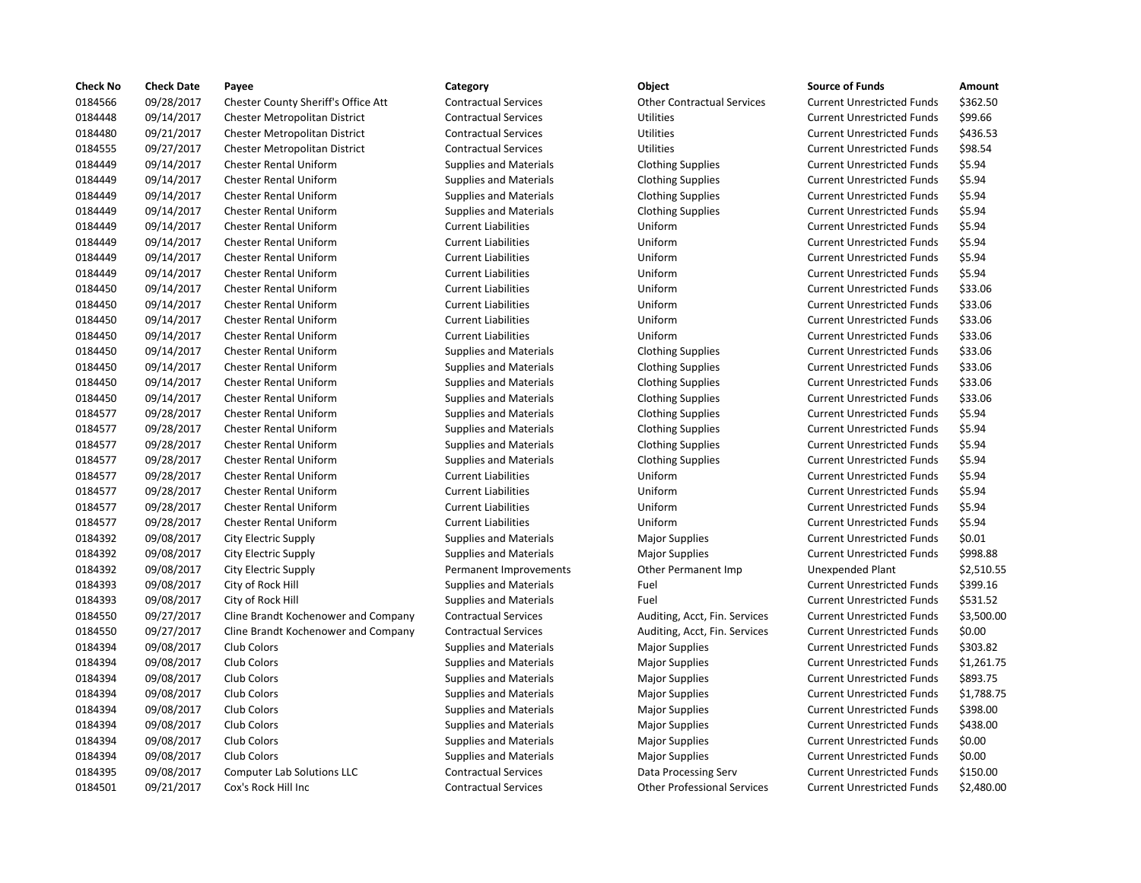| <b>Check No</b> | <b>Check Date</b> | Payee                                | Category                      | Object                             | <b>Source of Funds</b>            | Amount    |
|-----------------|-------------------|--------------------------------------|-------------------------------|------------------------------------|-----------------------------------|-----------|
| 0184566         | 09/28/2017        | Chester County Sheriff's Office Att  | <b>Contractual Services</b>   | <b>Other Contractual Services</b>  | <b>Current Unrestricted Funds</b> | \$362.50  |
| 0184448         | 09/14/2017        | Chester Metropolitan District        | <b>Contractual Services</b>   | <b>Utilities</b>                   | <b>Current Unrestricted Funds</b> | \$99.66   |
| 0184480         | 09/21/2017        | Chester Metropolitan District        | <b>Contractual Services</b>   | Utilities                          | <b>Current Unrestricted Funds</b> | \$436.53  |
| 0184555         | 09/27/2017        | <b>Chester Metropolitan District</b> | <b>Contractual Services</b>   | Utilities                          | <b>Current Unrestricted Funds</b> | \$98.54   |
| 0184449         | 09/14/2017        | <b>Chester Rental Uniform</b>        | <b>Supplies and Materials</b> | <b>Clothing Supplies</b>           | <b>Current Unrestricted Funds</b> | \$5.94    |
| 0184449         | 09/14/2017        | <b>Chester Rental Uniform</b>        | <b>Supplies and Materials</b> | <b>Clothing Supplies</b>           | <b>Current Unrestricted Funds</b> | \$5.94    |
| 0184449         | 09/14/2017        | <b>Chester Rental Uniform</b>        | <b>Supplies and Materials</b> | <b>Clothing Supplies</b>           | <b>Current Unrestricted Funds</b> | \$5.94    |
| 0184449         | 09/14/2017        | <b>Chester Rental Uniform</b>        | <b>Supplies and Materials</b> | <b>Clothing Supplies</b>           | <b>Current Unrestricted Funds</b> | \$5.94    |
| 0184449         | 09/14/2017        | Chester Rental Uniform               | <b>Current Liabilities</b>    | Uniform                            | <b>Current Unrestricted Funds</b> | \$5.94    |
| 0184449         | 09/14/2017        | <b>Chester Rental Uniform</b>        | <b>Current Liabilities</b>    | Uniform                            | <b>Current Unrestricted Funds</b> | \$5.94    |
| 0184449         | 09/14/2017        | <b>Chester Rental Uniform</b>        | <b>Current Liabilities</b>    | Uniform                            | <b>Current Unrestricted Funds</b> | \$5.94    |
| 0184449         | 09/14/2017        | <b>Chester Rental Uniform</b>        | <b>Current Liabilities</b>    | Uniform                            | <b>Current Unrestricted Funds</b> | \$5.94    |
| 0184450         | 09/14/2017        | <b>Chester Rental Uniform</b>        | <b>Current Liabilities</b>    | Uniform                            | <b>Current Unrestricted Funds</b> | \$33.06   |
| 0184450         | 09/14/2017        | <b>Chester Rental Uniform</b>        | <b>Current Liabilities</b>    | Uniform                            | <b>Current Unrestricted Funds</b> | \$33.06   |
| 0184450         | 09/14/2017        | Chester Rental Uniform               | <b>Current Liabilities</b>    | Uniform                            | <b>Current Unrestricted Funds</b> | \$33.06   |
| 0184450         | 09/14/2017        | <b>Chester Rental Uniform</b>        | <b>Current Liabilities</b>    | Uniform                            | <b>Current Unrestricted Funds</b> | \$33.06   |
| 0184450         | 09/14/2017        | <b>Chester Rental Uniform</b>        | <b>Supplies and Materials</b> | <b>Clothing Supplies</b>           | <b>Current Unrestricted Funds</b> | \$33.06   |
| 0184450         | 09/14/2017        | <b>Chester Rental Uniform</b>        | <b>Supplies and Materials</b> | <b>Clothing Supplies</b>           | <b>Current Unrestricted Funds</b> | \$33.06   |
| 0184450         | 09/14/2017        | <b>Chester Rental Uniform</b>        | <b>Supplies and Materials</b> | <b>Clothing Supplies</b>           | <b>Current Unrestricted Funds</b> | \$33.06   |
| 0184450         | 09/14/2017        | <b>Chester Rental Uniform</b>        | <b>Supplies and Materials</b> | <b>Clothing Supplies</b>           | <b>Current Unrestricted Funds</b> | \$33.06   |
| 0184577         | 09/28/2017        | <b>Chester Rental Uniform</b>        | <b>Supplies and Materials</b> | <b>Clothing Supplies</b>           | <b>Current Unrestricted Funds</b> | \$5.94    |
| 0184577         | 09/28/2017        | <b>Chester Rental Uniform</b>        | <b>Supplies and Materials</b> | <b>Clothing Supplies</b>           | <b>Current Unrestricted Funds</b> | \$5.94    |
| 0184577         | 09/28/2017        | <b>Chester Rental Uniform</b>        | <b>Supplies and Materials</b> | <b>Clothing Supplies</b>           | <b>Current Unrestricted Funds</b> | \$5.94    |
| 0184577         | 09/28/2017        | <b>Chester Rental Uniform</b>        | <b>Supplies and Materials</b> | <b>Clothing Supplies</b>           | <b>Current Unrestricted Funds</b> | \$5.94    |
| 0184577         | 09/28/2017        | <b>Chester Rental Uniform</b>        | <b>Current Liabilities</b>    | Uniform                            | <b>Current Unrestricted Funds</b> | \$5.94    |
| 0184577         | 09/28/2017        | <b>Chester Rental Uniform</b>        | <b>Current Liabilities</b>    | Uniform                            | <b>Current Unrestricted Funds</b> | \$5.94    |
| 0184577         | 09/28/2017        | <b>Chester Rental Uniform</b>        | <b>Current Liabilities</b>    | Uniform                            | <b>Current Unrestricted Funds</b> | \$5.94    |
| 0184577         | 09/28/2017        | <b>Chester Rental Uniform</b>        | <b>Current Liabilities</b>    | Uniform                            | <b>Current Unrestricted Funds</b> | \$5.94    |
| 0184392         | 09/08/2017        | City Electric Supply                 | <b>Supplies and Materials</b> | <b>Major Supplies</b>              | <b>Current Unrestricted Funds</b> | \$0.01    |
| 0184392         | 09/08/2017        | City Electric Supply                 | <b>Supplies and Materials</b> | <b>Major Supplies</b>              | <b>Current Unrestricted Funds</b> | \$998.88  |
| 0184392         | 09/08/2017        | City Electric Supply                 | Permanent Improvements        | Other Permanent Imp                | Unexpended Plant                  | \$2,510.5 |
| 0184393         | 09/08/2017        | City of Rock Hill                    | <b>Supplies and Materials</b> | Fuel                               | <b>Current Unrestricted Funds</b> | \$399.16  |
| 0184393         | 09/08/2017        | City of Rock Hill                    | <b>Supplies and Materials</b> | Fuel                               | <b>Current Unrestricted Funds</b> | \$531.52  |
| 0184550         | 09/27/2017        | Cline Brandt Kochenower and Company  | <b>Contractual Services</b>   | Auditing, Acct, Fin. Services      | <b>Current Unrestricted Funds</b> | \$3,500.0 |
| 0184550         | 09/27/2017        | Cline Brandt Kochenower and Company  | <b>Contractual Services</b>   | Auditing, Acct, Fin. Services      | <b>Current Unrestricted Funds</b> | \$0.00    |
| 0184394         | 09/08/2017        | Club Colors                          | <b>Supplies and Materials</b> | <b>Major Supplies</b>              | <b>Current Unrestricted Funds</b> | \$303.82  |
| 0184394         | 09/08/2017        | Club Colors                          | <b>Supplies and Materials</b> | <b>Major Supplies</b>              | <b>Current Unrestricted Funds</b> | \$1,261.7 |
| 0184394         | 09/08/2017        | Club Colors                          | <b>Supplies and Materials</b> | <b>Major Supplies</b>              | <b>Current Unrestricted Funds</b> | \$893.75  |
| 0184394         | 09/08/2017        | Club Colors                          | <b>Supplies and Materials</b> | <b>Major Supplies</b>              | <b>Current Unrestricted Funds</b> | \$1,788.7 |
| 0184394         | 09/08/2017        | Club Colors                          | <b>Supplies and Materials</b> | <b>Major Supplies</b>              | <b>Current Unrestricted Funds</b> | \$398.00  |
| 0184394         | 09/08/2017        | Club Colors                          | <b>Supplies and Materials</b> | Major Supplies                     | <b>Current Unrestricted Funds</b> | \$438.00  |
| 0184394         | 09/08/2017        | Club Colors                          | <b>Supplies and Materials</b> | <b>Major Supplies</b>              | <b>Current Unrestricted Funds</b> | \$0.00    |
| 0184394         | 09/08/2017        | Club Colors                          | <b>Supplies and Materials</b> | <b>Major Supplies</b>              | <b>Current Unrestricted Funds</b> | \$0.00    |
| 0184395         | 09/08/2017        | <b>Computer Lab Solutions LLC</b>    | <b>Contractual Services</b>   | Data Processing Serv               | <b>Current Unrestricted Funds</b> | \$150.00  |
| 0184501         | 09/21/2017        | Cox's Rock Hill Inc                  | <b>Contractual Services</b>   | <b>Other Professional Services</b> | <b>Current Unrestricted Funds</b> | \$2,480.0 |

# ractual Services **Chester Contractual Services** Current Unrestricted Funds \$362.50 netual Services **199.66** Current Unrestricted Funds 399.66 nactual Services **1976 Contractual District Contractual Services Current Unrestricted Funds 5436.53** Proces actual Services Current Unrestricted Funds and Services Utilities Current Unrestricted Funds 598.54 lies and Materials **Clothing Supplies** Current Unrestricted Funds \$5.94 Iies and Materials **Clothing Supplies** Current Unrestricted Funds 55.94 lies and Materials **Clothing Supplies Current Unrestricted Funds** 55.94 lies and Materials **Clothing Supplies Current Uniform Supplies** Current Unrestricted Funds \$5.94 ent Liabilities **1844** Uniform Current Unrestricted Funds 55.94 0184449 09/14/2017 Chester Rental Uniform Current Liabilities Uniform Current Unrestricted Funds \$5.94 ent Liabilities **18444** Oniform Current Unrestricted Funds 55.94 ent Liabilities **18444** Oniform Current Unrestricted Funds 55.94 0184450 09/14/2017 Chester Rental Uniform Current Liabilities Uniform Current Unrestricted Funds \$33.06 ent Liabilities **1200 Current Uniform** Current Unrestricted Funds 533.06 0184450 09/14/2017 Chester Rental Uniform Current Liabilities Uniform Current Unrestricted Funds \$33.06 0184450 09/14/2017 Chester Rental Uniform Current Liabilities Uniform Current Unrestricted Funds \$33.06 lies and Materials **Clothing Supplies Current Unrestricted Funds** \$33.06 lies and Materials **Clothing Supplies** Current Unrestricted Funds \$33.06 lies and Materials **Clothing Supplies** Current Unrestricted Funds \$33.06 dies and Materials **Clothing Supplies Current Unrestricted Funds** \$33.06 lies and Materials **Clothing Supplies** Current Unrestricted Funds \$5.94 lies and Materials **Clothing Supplies** Current Unrestricted Funds \$5.94 lies and Materials **Clothing Supplies** Current Unrestricted Funds \$5.94 nd Materials **1978** Clothing Supplies **1978** Current Unrestricted Funds 55.94 018457 1018457 1018/2017 12.557 Oniform Current Unrestricted Funds in the Unitorm Current Unrestricted Funds 0184577 09/28/2017 Chester Rental Uniform Current Liabilities Uniform Current Unrestricted Funds \$5.94 0184577 09/28/2017 Chester Rental Uniform Current Liabilities Uniform Current Unrestricted Funds \$5.94 nt Liabilities **Current Uniform Current Unrestricted Funds** 55.94 lies and Materials **Current Current University Supplies** Current Unrestricted Funds \$0.01 lies and Materials **Current University Supplies** Current Unrestricted Funds \$998.88 anent Improvements **Other Permanent Imp** Unexpended Plant \$2,510.55 lies and Materials **1988** Current Unrestricted Funds 5399.16 **Drawing of Allen Supplies And Materials Fuel Current Unrestricted Funds \$531.52** 0184550 09/27/2017 Cline Brandt Kochenower and Company Contractual Services Auditing, Acct, Fin. Services Current Unrestricted Funds \$3,500.00 actual Services **Company Company Company Company Contractual Services** Current Unrestricted Funds \$0.00 01845 lies and Materials **1984 of Current Colors Supplies** Current Unrestricted Funds 5303.82 lies and Materials **1.2017 Colors Major Supplies** Current Unrestricted Funds 51,261.75 0184394 09/08/2017 Club Colors Supplies and Materials Major Supplies Current Unrestricted Funds \$893.75 lies and Materials **1.2018. Current Unrestricted Funds** And Materials Major Supplies Current Unrestricted Funds 61,788.75 Iies and Materials **1978** 2017 Current Unrestricted Funds 5398.00 0184394 09/08/2017 Club Colors Supplies and Materials Major Supplies Current Unrestricted Funds \$438.00 lies and Materials **1974 Current Current Unrestricted Funds** 50.00 0184394 09/08/2017 Club Colors Supplies and Materials Major Supplies Current Unrestricted Funds \$0.00 actual Services **1.2018 Computer Laborate Contractual Services Contractual Services Contract**ust Current Unrestricted Funds \$150.00 actual Services **Communists** Communisties Current Unrestricted Funds \$2,480.00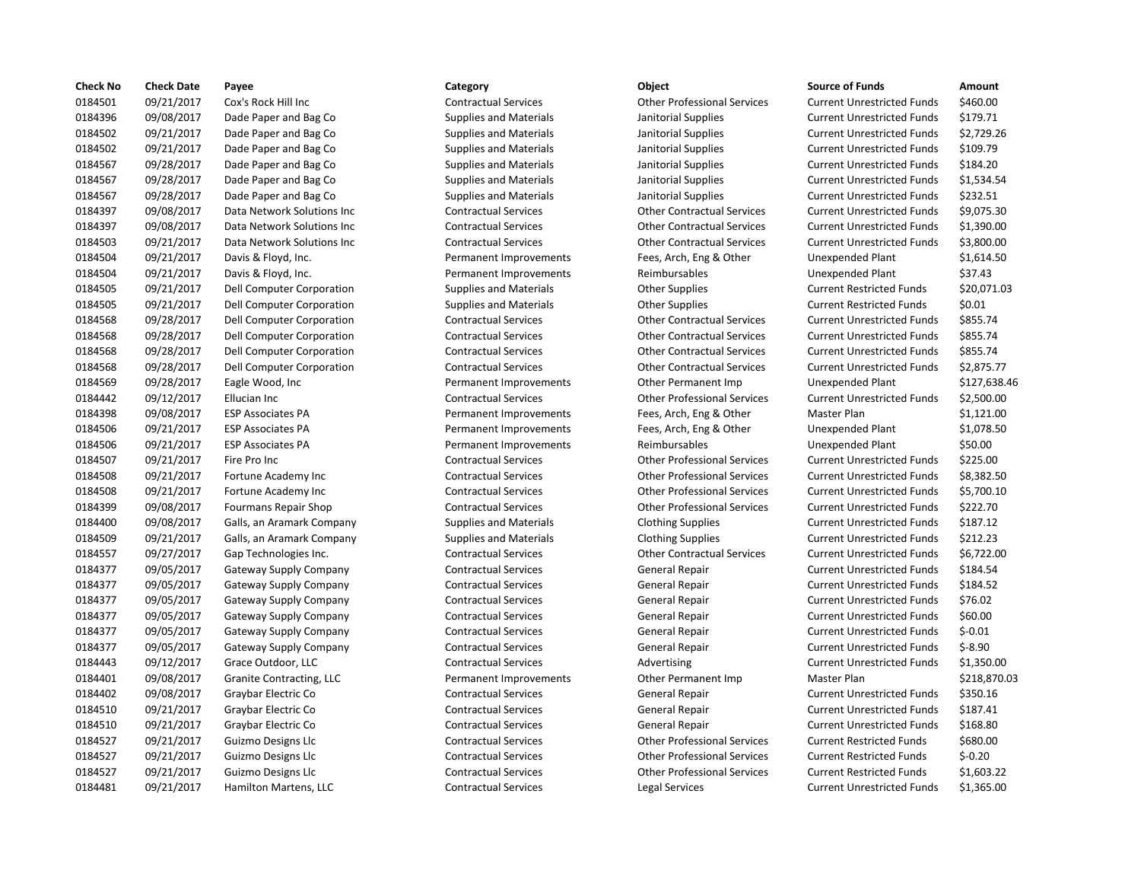| <b>Check No</b> | <b>Check Date</b> | Payee                         | Category                      | Object                             | <b>Source of Funds</b>            | Amount    |
|-----------------|-------------------|-------------------------------|-------------------------------|------------------------------------|-----------------------------------|-----------|
| 0184501         | 09/21/2017        | Cox's Rock Hill Inc           | <b>Contractual Services</b>   | <b>Other Professional Services</b> | <b>Current Unrestricted Funds</b> | \$460.00  |
| 0184396         | 09/08/2017        | Dade Paper and Bag Co         | <b>Supplies and Materials</b> | Janitorial Supplies                | <b>Current Unrestricted Funds</b> | \$179.71  |
| 0184502         | 09/21/2017        | Dade Paper and Bag Co         | <b>Supplies and Materials</b> | Janitorial Supplies                | <b>Current Unrestricted Funds</b> | \$2,729.2 |
| 0184502         | 09/21/2017        | Dade Paper and Bag Co         | <b>Supplies and Materials</b> | Janitorial Supplies                | <b>Current Unrestricted Funds</b> | \$109.79  |
| 0184567         | 09/28/2017        | Dade Paper and Bag Co         | <b>Supplies and Materials</b> | Janitorial Supplies                | <b>Current Unrestricted Funds</b> | \$184.20  |
| 0184567         | 09/28/2017        | Dade Paper and Bag Co         | <b>Supplies and Materials</b> | Janitorial Supplies                | <b>Current Unrestricted Funds</b> | \$1,534.5 |
| 0184567         | 09/28/2017        | Dade Paper and Bag Co         | <b>Supplies and Materials</b> | Janitorial Supplies                | <b>Current Unrestricted Funds</b> | \$232.51  |
| 0184397         | 09/08/2017        | Data Network Solutions Inc    | <b>Contractual Services</b>   | <b>Other Contractual Services</b>  | <b>Current Unrestricted Funds</b> | \$9,075.3 |
| 0184397         | 09/08/2017        | Data Network Solutions Inc    | <b>Contractual Services</b>   | <b>Other Contractual Services</b>  | <b>Current Unrestricted Funds</b> | \$1,390.0 |
| 0184503         | 09/21/2017        | Data Network Solutions Inc    | <b>Contractual Services</b>   | <b>Other Contractual Services</b>  | <b>Current Unrestricted Funds</b> | \$3,800.0 |
| 0184504         | 09/21/2017        | Davis & Floyd, Inc.           | Permanent Improvements        | Fees, Arch, Eng & Other            | <b>Unexpended Plant</b>           | \$1,614.5 |
| 0184504         | 09/21/2017        | Davis & Floyd, Inc.           | Permanent Improvements        | Reimbursables                      | Unexpended Plant                  | \$37.43   |
| 0184505         | 09/21/2017        | Dell Computer Corporation     | <b>Supplies and Materials</b> | <b>Other Supplies</b>              | <b>Current Restricted Funds</b>   | \$20,071  |
| 0184505         | 09/21/2017        | Dell Computer Corporation     | <b>Supplies and Materials</b> | <b>Other Supplies</b>              | <b>Current Restricted Funds</b>   | \$0.01    |
| 0184568         | 09/28/2017        | Dell Computer Corporation     | <b>Contractual Services</b>   | <b>Other Contractual Services</b>  | <b>Current Unrestricted Funds</b> | \$855.74  |
| 0184568         | 09/28/2017        | Dell Computer Corporation     | <b>Contractual Services</b>   | <b>Other Contractual Services</b>  | <b>Current Unrestricted Funds</b> | \$855.74  |
| 0184568         | 09/28/2017        | Dell Computer Corporation     | <b>Contractual Services</b>   | <b>Other Contractual Services</b>  | <b>Current Unrestricted Funds</b> | \$855.74  |
| 0184568         | 09/28/2017        | Dell Computer Corporation     | <b>Contractual Services</b>   | <b>Other Contractual Services</b>  | <b>Current Unrestricted Funds</b> | \$2,875.7 |
| 0184569         | 09/28/2017        | Eagle Wood, Inc               | Permanent Improvements        | Other Permanent Imp                | <b>Unexpended Plant</b>           | \$127,63  |
| 0184442         | 09/12/2017        | Ellucian Inc                  | <b>Contractual Services</b>   | <b>Other Professional Services</b> | <b>Current Unrestricted Funds</b> | \$2,500.0 |
| 0184398         | 09/08/2017        | <b>ESP Associates PA</b>      | Permanent Improvements        | Fees, Arch, Eng & Other            | Master Plan                       | \$1,121.0 |
| 0184506         | 09/21/2017        | <b>ESP Associates PA</b>      | Permanent Improvements        | Fees, Arch, Eng & Other            | Unexpended Plant                  | \$1,078.5 |
| 0184506         | 09/21/2017        | <b>ESP Associates PA</b>      | Permanent Improvements        | Reimbursables                      | Unexpended Plant                  | \$50.00   |
| 0184507         | 09/21/2017        | Fire Pro Inc                  | <b>Contractual Services</b>   | <b>Other Professional Services</b> | <b>Current Unrestricted Funds</b> | \$225.00  |
| 0184508         | 09/21/2017        | Fortune Academy Inc           | <b>Contractual Services</b>   | <b>Other Professional Services</b> | <b>Current Unrestricted Funds</b> | \$8,382.5 |
| 0184508         | 09/21/2017        | Fortune Academy Inc           | <b>Contractual Services</b>   | <b>Other Professional Services</b> | <b>Current Unrestricted Funds</b> | \$5,700.1 |
| 0184399         | 09/08/2017        | Fourmans Repair Shop          | <b>Contractual Services</b>   | <b>Other Professional Services</b> | <b>Current Unrestricted Funds</b> | \$222.70  |
| 0184400         | 09/08/2017        | Galls, an Aramark Company     | <b>Supplies and Materials</b> | <b>Clothing Supplies</b>           | <b>Current Unrestricted Funds</b> | \$187.12  |
| 0184509         | 09/21/2017        | Galls, an Aramark Company     | <b>Supplies and Materials</b> | <b>Clothing Supplies</b>           | <b>Current Unrestricted Funds</b> | \$212.23  |
| 0184557         | 09/27/2017        | Gap Technologies Inc.         | <b>Contractual Services</b>   | <b>Other Contractual Services</b>  | <b>Current Unrestricted Funds</b> | \$6,722.0 |
| 0184377         | 09/05/2017        | Gateway Supply Company        | <b>Contractual Services</b>   | General Repair                     | <b>Current Unrestricted Funds</b> | \$184.54  |
| 0184377         | 09/05/2017        | Gateway Supply Company        | <b>Contractual Services</b>   | General Repair                     | <b>Current Unrestricted Funds</b> | \$184.52  |
| 0184377         | 09/05/2017        | Gateway Supply Company        | <b>Contractual Services</b>   | <b>General Repair</b>              | <b>Current Unrestricted Funds</b> | \$76.02   |
| 0184377         | 09/05/2017        | Gateway Supply Company        | <b>Contractual Services</b>   | General Repair                     | <b>Current Unrestricted Funds</b> | \$60.00   |
| 0184377         | 09/05/2017        | <b>Gateway Supply Company</b> | <b>Contractual Services</b>   | <b>General Repair</b>              | <b>Current Unrestricted Funds</b> | $$-0.01$  |
| 0184377         | 09/05/2017        | Gateway Supply Company        | <b>Contractual Services</b>   | <b>General Repair</b>              | <b>Current Unrestricted Funds</b> | $$-8.90$  |
| 0184443         | 09/12/2017        | Grace Outdoor, LLC            | <b>Contractual Services</b>   | Advertising                        | <b>Current Unrestricted Funds</b> | \$1,350.0 |
| 0184401         | 09/08/2017        | Granite Contracting, LLC      | Permanent Improvements        | Other Permanent Imp                | Master Plan                       | \$218,87  |
| 0184402         | 09/08/2017        | Graybar Electric Co           | <b>Contractual Services</b>   | General Repair                     | <b>Current Unrestricted Funds</b> | \$350.16  |
| 0184510         | 09/21/2017        | Graybar Electric Co           | <b>Contractual Services</b>   | <b>General Repair</b>              | <b>Current Unrestricted Funds</b> | \$187.41  |
| 0184510         | 09/21/2017        | Graybar Electric Co           | <b>Contractual Services</b>   | General Repair                     | <b>Current Unrestricted Funds</b> | \$168.80  |
| 0184527         | 09/21/2017        | Guizmo Designs Llc            | <b>Contractual Services</b>   | <b>Other Professional Services</b> | <b>Current Restricted Funds</b>   | \$680.00  |
| 0184527         | 09/21/2017        | Guizmo Designs Llc            | <b>Contractual Services</b>   | <b>Other Professional Services</b> | <b>Current Restricted Funds</b>   | $$-0.20$  |
| 0184527         | 09/21/2017        | Guizmo Designs Llc            | <b>Contractual Services</b>   | <b>Other Professional Services</b> | <b>Current Restricted Funds</b>   | \$1,603.2 |
| 0184481         | 09/21/2017        | Hamilton Martens, LLC         | <b>Contractual Services</b>   | Legal Services                     | <b>Current Unrestricted Funds</b> | \$1,365.0 |
|                 |                   |                               |                               |                                    |                                   |           |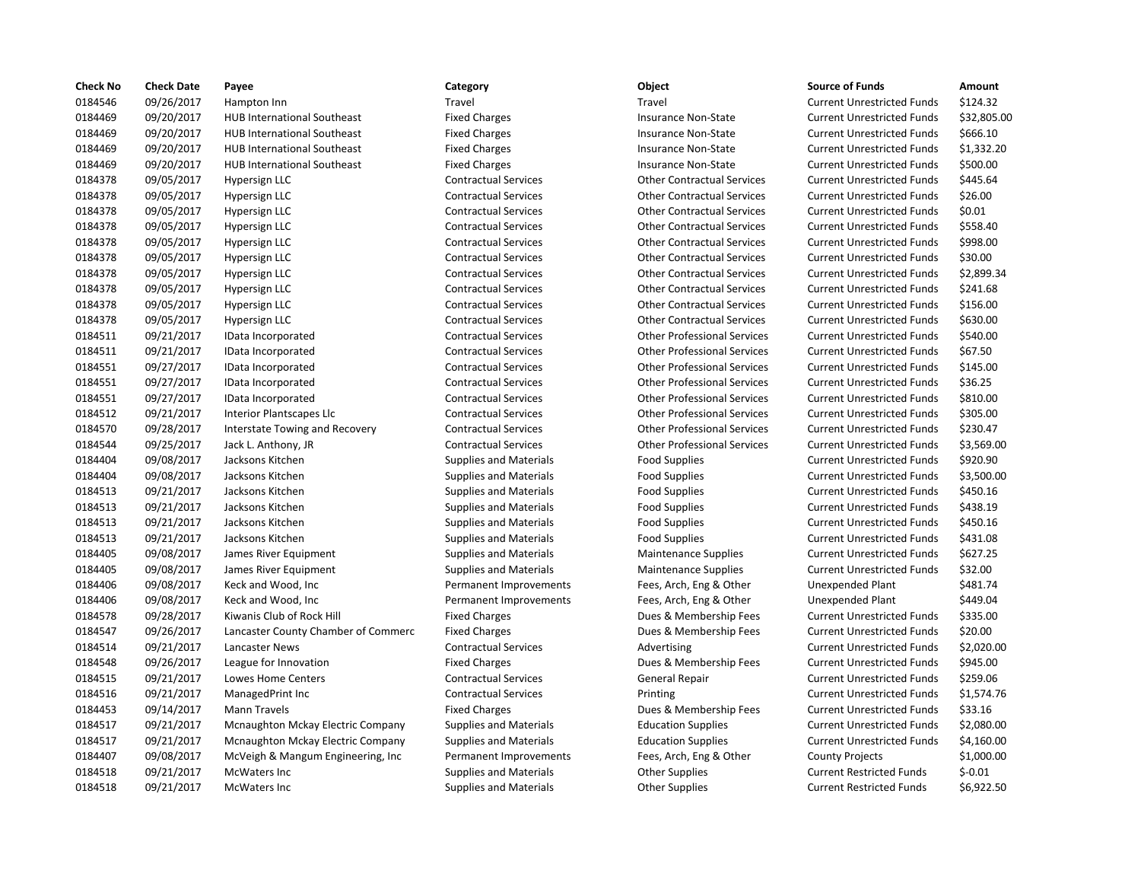| 0184546<br>09/26/2017<br>Hampton Inn<br>Travel<br>Travel<br><b>Current Unrestricted Funds</b><br>0184469<br>09/20/2017<br><b>HUB International Southeast</b><br><b>Fixed Charges</b><br><b>Insurance Non-State</b><br><b>Current Unrestricted Funds</b><br>0184469<br>09/20/2017<br><b>HUB International Southeast</b><br><b>Fixed Charges</b><br><b>Insurance Non-State</b><br><b>Current Unrestricted Funds</b><br>0184469<br>09/20/2017<br><b>HUB International Southeast</b><br><b>Fixed Charges</b><br><b>Insurance Non-State</b><br><b>Current Unrestricted Funds</b><br>0184469<br>09/20/2017<br><b>HUB International Southeast</b><br><b>Fixed Charges</b><br><b>Insurance Non-State</b><br><b>Current Unrestricted Funds</b><br>0184378<br>09/05/2017<br><b>Contractual Services</b><br><b>Other Contractual Services</b><br>Hypersign LLC<br><b>Current Unrestricted Funds</b><br>0184378<br>09/05/2017<br>Hypersign LLC<br><b>Contractual Services</b><br><b>Other Contractual Services</b><br><b>Current Unrestricted Funds</b><br>0184378<br>09/05/2017<br><b>Contractual Services</b><br><b>Other Contractual Services</b><br>Hypersign LLC<br><b>Current Unrestricted Funds</b><br>0184378<br>09/05/2017<br>Hypersign LLC<br><b>Contractual Services</b><br><b>Other Contractual Services</b><br><b>Current Unrestricted Funds</b><br>0184378<br>09/05/2017<br><b>Contractual Services</b><br><b>Other Contractual Services</b><br><b>Current Unrestricted Funds</b><br>Hypersign LLC<br>0184378<br>09/05/2017<br><b>Contractual Services</b><br><b>Other Contractual Services</b><br>Hypersign LLC<br><b>Current Unrestricted Funds</b><br>0184378<br>09/05/2017<br>Hypersign LLC<br><b>Contractual Services</b><br><b>Other Contractual Services</b><br><b>Current Unrestricted Funds</b><br>0184378<br>09/05/2017<br><b>Contractual Services</b><br><b>Other Contractual Services</b><br><b>Current Unrestricted Funds</b><br>Hypersign LLC<br>0184378<br>09/05/2017<br><b>Contractual Services</b><br><b>Other Contractual Services</b><br>Hypersign LLC<br><b>Current Unrestricted Funds</b><br>0184378<br>09/05/2017<br><b>Contractual Services</b><br><b>Other Contractual Services</b><br><b>Current Unrestricted Funds</b><br>Hypersign LLC<br>0184511<br>09/21/2017<br><b>Contractual Services</b><br><b>Other Professional Services</b><br>IData Incorporated<br><b>Current Unrestricted Funds</b><br>0184511<br>09/21/2017<br>IData Incorporated<br><b>Contractual Services</b><br><b>Other Professional Services</b><br><b>Current Unrestricted Funds</b><br>0184551<br>09/27/2017<br><b>Contractual Services</b><br><b>Other Professional Services</b><br><b>Current Unrestricted Funds</b><br>IData Incorporated<br>0184551<br>09/27/2017<br><b>Other Professional Services</b><br>IData Incorporated<br><b>Contractual Services</b><br><b>Current Unrestricted Funds</b><br>09/27/2017<br>0184551<br><b>Contractual Services</b><br><b>Other Professional Services</b><br><b>Current Unrestricted Funds</b><br>IData Incorporated<br>0184512<br>09/21/2017<br><b>Other Professional Services</b><br>Interior Plantscapes Llc<br><b>Contractual Services</b><br><b>Current Unrestricted Funds</b><br>0184570<br>09/28/2017<br><b>Other Professional Services</b><br>Interstate Towing and Recovery<br><b>Contractual Services</b><br><b>Current Unrestricted Funds</b><br>0184544<br>09/25/2017<br><b>Contractual Services</b><br><b>Other Professional Services</b><br><b>Current Unrestricted Funds</b><br>Jack L. Anthony, JR<br>0184404<br>09/08/2017<br><b>Food Supplies</b><br>Jacksons Kitchen<br><b>Supplies and Materials</b><br><b>Current Unrestricted Funds</b><br>0184404<br>09/08/2017<br>Jacksons Kitchen<br><b>Supplies and Materials</b><br><b>Food Supplies</b><br><b>Current Unrestricted Funds</b><br>0184513<br>09/21/2017<br>Jacksons Kitchen<br><b>Supplies and Materials</b><br><b>Food Supplies</b><br><b>Current Unrestricted Funds</b><br>0184513<br>09/21/2017<br>Jacksons Kitchen<br><b>Supplies and Materials</b><br><b>Food Supplies</b><br><b>Current Unrestricted Funds</b><br>09/21/2017<br>0184513<br>Jacksons Kitchen<br><b>Supplies and Materials</b><br><b>Food Supplies</b><br><b>Current Unrestricted Funds</b><br>0184513<br>09/21/2017<br><b>Food Supplies</b><br>Jacksons Kitchen<br><b>Supplies and Materials</b><br><b>Current Unrestricted Funds</b><br>0184405<br>09/08/2017<br>James River Equipment<br><b>Supplies and Materials</b><br><b>Maintenance Supplies</b><br><b>Current Unrestricted Funds</b><br>0184405<br>09/08/2017<br>James River Equipment<br><b>Supplies and Materials</b><br><b>Maintenance Supplies</b><br><b>Current Unrestricted Funds</b><br>09/08/2017<br>0184406<br>Keck and Wood, Inc<br>Permanent Improvements<br>Fees, Arch, Eng & Other<br><b>Unexpended Plant</b><br>09/08/2017<br>0184406<br>Keck and Wood, Inc.<br>Permanent Improvements<br>Fees, Arch, Eng & Other<br>Unexpended Plant<br>0184578<br>09/28/2017<br>Kiwanis Club of Rock Hill<br><b>Fixed Charges</b><br>Dues & Membership Fees<br><b>Current Unrestricted Funds</b><br>09/26/2017<br>0184547<br>Lancaster County Chamber of Commerc<br><b>Fixed Charges</b><br>Dues & Membership Fees<br><b>Current Unrestricted Funds</b><br>0184514<br>09/21/2017<br><b>Contractual Services</b><br>Lancaster News<br>Advertising<br><b>Current Unrestricted Funds</b><br>09/26/2017<br>0184548<br>League for Innovation<br><b>Fixed Charges</b><br>Dues & Membership Fees<br><b>Current Unrestricted Funds</b><br>09/21/2017<br>0184515<br>Lowes Home Centers<br><b>Contractual Services</b><br>General Repair<br><b>Current Unrestricted Funds</b><br>0184516<br>09/21/2017<br><b>Contractual Services</b><br>ManagedPrint Inc<br>Printing<br><b>Current Unrestricted Funds</b><br>09/14/2017<br>0184453<br><b>Mann Travels</b><br><b>Fixed Charges</b><br>Dues & Membership Fees<br><b>Current Unrestricted Funds</b><br>0184517<br>09/21/2017<br>Mcnaughton Mckay Electric Company<br><b>Supplies and Materials</b><br><b>Education Supplies</b><br><b>Current Unrestricted Funds</b><br>0184517<br>09/21/2017<br>Mcnaughton Mckay Electric Company<br><b>Education Supplies</b><br><b>Current Unrestricted Funds</b><br><b>Supplies and Materials</b><br>0184407<br>09/08/2017<br>McVeigh & Mangum Engineering, Inc.<br>Fees, Arch, Eng & Other<br>Permanent Improvements<br><b>County Projects</b><br>0184518<br>09/21/2017<br>McWaters Inc<br><b>Supplies and Materials</b><br><b>Other Supplies</b><br><b>Current Restricted Funds</b><br>0184518<br>09/21/2017<br>McWaters Inc<br><b>Supplies and Materials</b><br><b>Other Supplies</b><br><b>Current Restricted Funds</b> | <b>Check No</b> | <b>Check Date</b> | Payee | Category | Object | <b>Source of Funds</b> | Amount    |
|--------------------------------------------------------------------------------------------------------------------------------------------------------------------------------------------------------------------------------------------------------------------------------------------------------------------------------------------------------------------------------------------------------------------------------------------------------------------------------------------------------------------------------------------------------------------------------------------------------------------------------------------------------------------------------------------------------------------------------------------------------------------------------------------------------------------------------------------------------------------------------------------------------------------------------------------------------------------------------------------------------------------------------------------------------------------------------------------------------------------------------------------------------------------------------------------------------------------------------------------------------------------------------------------------------------------------------------------------------------------------------------------------------------------------------------------------------------------------------------------------------------------------------------------------------------------------------------------------------------------------------------------------------------------------------------------------------------------------------------------------------------------------------------------------------------------------------------------------------------------------------------------------------------------------------------------------------------------------------------------------------------------------------------------------------------------------------------------------------------------------------------------------------------------------------------------------------------------------------------------------------------------------------------------------------------------------------------------------------------------------------------------------------------------------------------------------------------------------------------------------------------------------------------------------------------------------------------------------------------------------------------------------------------------------------------------------------------------------------------------------------------------------------------------------------------------------------------------------------------------------------------------------------------------------------------------------------------------------------------------------------------------------------------------------------------------------------------------------------------------------------------------------------------------------------------------------------------------------------------------------------------------------------------------------------------------------------------------------------------------------------------------------------------------------------------------------------------------------------------------------------------------------------------------------------------------------------------------------------------------------------------------------------------------------------------------------------------------------------------------------------------------------------------------------------------------------------------------------------------------------------------------------------------------------------------------------------------------------------------------------------------------------------------------------------------------------------------------------------------------------------------------------------------------------------------------------------------------------------------------------------------------------------------------------------------------------------------------------------------------------------------------------------------------------------------------------------------------------------------------------------------------------------------------------------------------------------------------------------------------------------------------------------------------------------------------------------------------------------------------------------------------------------------------------------------------------------------------------------------------------------------------------------------------------------------------------------------------------------------------------------------------------------------------------------------------------------------------------------------------------------------------------------------------------------------------------------------------------------------------------------------------------------------------------------------------------------------------------------------------------------------------------------------------------------------------------------------------------------------------------------------------------------------------------------------------------------------------------------------------------------------------------------------------------------------------------------------------------------------------------------------------------------------------------------------------------------------------------------------------------------------------------------------------------------------------------------------------------------------------------------------------------------------------------------------------------------------------------------------------------------------------------------------------------------------------------------------------------------------------------------------------------------------------------------------------------------------------------------------------------------------------------------------------------------------------------------------------------------------------------------------------------------------------------------------------------------------------------------------------------------------------------------------------------------------------------------------------------------------------------------|-----------------|-------------------|-------|----------|--------|------------------------|-----------|
|                                                                                                                                                                                                                                                                                                                                                                                                                                                                                                                                                                                                                                                                                                                                                                                                                                                                                                                                                                                                                                                                                                                                                                                                                                                                                                                                                                                                                                                                                                                                                                                                                                                                                                                                                                                                                                                                                                                                                                                                                                                                                                                                                                                                                                                                                                                                                                                                                                                                                                                                                                                                                                                                                                                                                                                                                                                                                                                                                                                                                                                                                                                                                                                                                                                                                                                                                                                                                                                                                                                                                                                                                                                                                                                                                                                                                                                                                                                                                                                                                                                                                                                                                                                                                                                                                                                                                                                                                                                                                                                                                                                                                                                                                                                                                                                                                                                                                                                                                                                                                                                                                                                                                                                                                                                                                                                                                                                                                                                                                                                                                                                                                                                                                                                                                                                                                                                                                                                                                                                                                                                                                                                                                                                                                                                                                                                                                                                                                                                                                                                                                                                                                                                                                                                                                        |                 |                   |       |          |        |                        | \$124.32  |
|                                                                                                                                                                                                                                                                                                                                                                                                                                                                                                                                                                                                                                                                                                                                                                                                                                                                                                                                                                                                                                                                                                                                                                                                                                                                                                                                                                                                                                                                                                                                                                                                                                                                                                                                                                                                                                                                                                                                                                                                                                                                                                                                                                                                                                                                                                                                                                                                                                                                                                                                                                                                                                                                                                                                                                                                                                                                                                                                                                                                                                                                                                                                                                                                                                                                                                                                                                                                                                                                                                                                                                                                                                                                                                                                                                                                                                                                                                                                                                                                                                                                                                                                                                                                                                                                                                                                                                                                                                                                                                                                                                                                                                                                                                                                                                                                                                                                                                                                                                                                                                                                                                                                                                                                                                                                                                                                                                                                                                                                                                                                                                                                                                                                                                                                                                                                                                                                                                                                                                                                                                                                                                                                                                                                                                                                                                                                                                                                                                                                                                                                                                                                                                                                                                                                                        |                 |                   |       |          |        |                        | \$32,805  |
|                                                                                                                                                                                                                                                                                                                                                                                                                                                                                                                                                                                                                                                                                                                                                                                                                                                                                                                                                                                                                                                                                                                                                                                                                                                                                                                                                                                                                                                                                                                                                                                                                                                                                                                                                                                                                                                                                                                                                                                                                                                                                                                                                                                                                                                                                                                                                                                                                                                                                                                                                                                                                                                                                                                                                                                                                                                                                                                                                                                                                                                                                                                                                                                                                                                                                                                                                                                                                                                                                                                                                                                                                                                                                                                                                                                                                                                                                                                                                                                                                                                                                                                                                                                                                                                                                                                                                                                                                                                                                                                                                                                                                                                                                                                                                                                                                                                                                                                                                                                                                                                                                                                                                                                                                                                                                                                                                                                                                                                                                                                                                                                                                                                                                                                                                                                                                                                                                                                                                                                                                                                                                                                                                                                                                                                                                                                                                                                                                                                                                                                                                                                                                                                                                                                                                        |                 |                   |       |          |        |                        | \$666.10  |
|                                                                                                                                                                                                                                                                                                                                                                                                                                                                                                                                                                                                                                                                                                                                                                                                                                                                                                                                                                                                                                                                                                                                                                                                                                                                                                                                                                                                                                                                                                                                                                                                                                                                                                                                                                                                                                                                                                                                                                                                                                                                                                                                                                                                                                                                                                                                                                                                                                                                                                                                                                                                                                                                                                                                                                                                                                                                                                                                                                                                                                                                                                                                                                                                                                                                                                                                                                                                                                                                                                                                                                                                                                                                                                                                                                                                                                                                                                                                                                                                                                                                                                                                                                                                                                                                                                                                                                                                                                                                                                                                                                                                                                                                                                                                                                                                                                                                                                                                                                                                                                                                                                                                                                                                                                                                                                                                                                                                                                                                                                                                                                                                                                                                                                                                                                                                                                                                                                                                                                                                                                                                                                                                                                                                                                                                                                                                                                                                                                                                                                                                                                                                                                                                                                                                                        |                 |                   |       |          |        |                        | \$1,332.2 |
|                                                                                                                                                                                                                                                                                                                                                                                                                                                                                                                                                                                                                                                                                                                                                                                                                                                                                                                                                                                                                                                                                                                                                                                                                                                                                                                                                                                                                                                                                                                                                                                                                                                                                                                                                                                                                                                                                                                                                                                                                                                                                                                                                                                                                                                                                                                                                                                                                                                                                                                                                                                                                                                                                                                                                                                                                                                                                                                                                                                                                                                                                                                                                                                                                                                                                                                                                                                                                                                                                                                                                                                                                                                                                                                                                                                                                                                                                                                                                                                                                                                                                                                                                                                                                                                                                                                                                                                                                                                                                                                                                                                                                                                                                                                                                                                                                                                                                                                                                                                                                                                                                                                                                                                                                                                                                                                                                                                                                                                                                                                                                                                                                                                                                                                                                                                                                                                                                                                                                                                                                                                                                                                                                                                                                                                                                                                                                                                                                                                                                                                                                                                                                                                                                                                                                        |                 |                   |       |          |        |                        | \$500.00  |
|                                                                                                                                                                                                                                                                                                                                                                                                                                                                                                                                                                                                                                                                                                                                                                                                                                                                                                                                                                                                                                                                                                                                                                                                                                                                                                                                                                                                                                                                                                                                                                                                                                                                                                                                                                                                                                                                                                                                                                                                                                                                                                                                                                                                                                                                                                                                                                                                                                                                                                                                                                                                                                                                                                                                                                                                                                                                                                                                                                                                                                                                                                                                                                                                                                                                                                                                                                                                                                                                                                                                                                                                                                                                                                                                                                                                                                                                                                                                                                                                                                                                                                                                                                                                                                                                                                                                                                                                                                                                                                                                                                                                                                                                                                                                                                                                                                                                                                                                                                                                                                                                                                                                                                                                                                                                                                                                                                                                                                                                                                                                                                                                                                                                                                                                                                                                                                                                                                                                                                                                                                                                                                                                                                                                                                                                                                                                                                                                                                                                                                                                                                                                                                                                                                                                                        |                 |                   |       |          |        |                        | \$445.64  |
|                                                                                                                                                                                                                                                                                                                                                                                                                                                                                                                                                                                                                                                                                                                                                                                                                                                                                                                                                                                                                                                                                                                                                                                                                                                                                                                                                                                                                                                                                                                                                                                                                                                                                                                                                                                                                                                                                                                                                                                                                                                                                                                                                                                                                                                                                                                                                                                                                                                                                                                                                                                                                                                                                                                                                                                                                                                                                                                                                                                                                                                                                                                                                                                                                                                                                                                                                                                                                                                                                                                                                                                                                                                                                                                                                                                                                                                                                                                                                                                                                                                                                                                                                                                                                                                                                                                                                                                                                                                                                                                                                                                                                                                                                                                                                                                                                                                                                                                                                                                                                                                                                                                                                                                                                                                                                                                                                                                                                                                                                                                                                                                                                                                                                                                                                                                                                                                                                                                                                                                                                                                                                                                                                                                                                                                                                                                                                                                                                                                                                                                                                                                                                                                                                                                                                        |                 |                   |       |          |        |                        | \$26.00   |
|                                                                                                                                                                                                                                                                                                                                                                                                                                                                                                                                                                                                                                                                                                                                                                                                                                                                                                                                                                                                                                                                                                                                                                                                                                                                                                                                                                                                                                                                                                                                                                                                                                                                                                                                                                                                                                                                                                                                                                                                                                                                                                                                                                                                                                                                                                                                                                                                                                                                                                                                                                                                                                                                                                                                                                                                                                                                                                                                                                                                                                                                                                                                                                                                                                                                                                                                                                                                                                                                                                                                                                                                                                                                                                                                                                                                                                                                                                                                                                                                                                                                                                                                                                                                                                                                                                                                                                                                                                                                                                                                                                                                                                                                                                                                                                                                                                                                                                                                                                                                                                                                                                                                                                                                                                                                                                                                                                                                                                                                                                                                                                                                                                                                                                                                                                                                                                                                                                                                                                                                                                                                                                                                                                                                                                                                                                                                                                                                                                                                                                                                                                                                                                                                                                                                                        |                 |                   |       |          |        |                        | \$0.01    |
|                                                                                                                                                                                                                                                                                                                                                                                                                                                                                                                                                                                                                                                                                                                                                                                                                                                                                                                                                                                                                                                                                                                                                                                                                                                                                                                                                                                                                                                                                                                                                                                                                                                                                                                                                                                                                                                                                                                                                                                                                                                                                                                                                                                                                                                                                                                                                                                                                                                                                                                                                                                                                                                                                                                                                                                                                                                                                                                                                                                                                                                                                                                                                                                                                                                                                                                                                                                                                                                                                                                                                                                                                                                                                                                                                                                                                                                                                                                                                                                                                                                                                                                                                                                                                                                                                                                                                                                                                                                                                                                                                                                                                                                                                                                                                                                                                                                                                                                                                                                                                                                                                                                                                                                                                                                                                                                                                                                                                                                                                                                                                                                                                                                                                                                                                                                                                                                                                                                                                                                                                                                                                                                                                                                                                                                                                                                                                                                                                                                                                                                                                                                                                                                                                                                                                        |                 |                   |       |          |        |                        | \$558.40  |
|                                                                                                                                                                                                                                                                                                                                                                                                                                                                                                                                                                                                                                                                                                                                                                                                                                                                                                                                                                                                                                                                                                                                                                                                                                                                                                                                                                                                                                                                                                                                                                                                                                                                                                                                                                                                                                                                                                                                                                                                                                                                                                                                                                                                                                                                                                                                                                                                                                                                                                                                                                                                                                                                                                                                                                                                                                                                                                                                                                                                                                                                                                                                                                                                                                                                                                                                                                                                                                                                                                                                                                                                                                                                                                                                                                                                                                                                                                                                                                                                                                                                                                                                                                                                                                                                                                                                                                                                                                                                                                                                                                                                                                                                                                                                                                                                                                                                                                                                                                                                                                                                                                                                                                                                                                                                                                                                                                                                                                                                                                                                                                                                                                                                                                                                                                                                                                                                                                                                                                                                                                                                                                                                                                                                                                                                                                                                                                                                                                                                                                                                                                                                                                                                                                                                                        |                 |                   |       |          |        |                        | \$998.00  |
|                                                                                                                                                                                                                                                                                                                                                                                                                                                                                                                                                                                                                                                                                                                                                                                                                                                                                                                                                                                                                                                                                                                                                                                                                                                                                                                                                                                                                                                                                                                                                                                                                                                                                                                                                                                                                                                                                                                                                                                                                                                                                                                                                                                                                                                                                                                                                                                                                                                                                                                                                                                                                                                                                                                                                                                                                                                                                                                                                                                                                                                                                                                                                                                                                                                                                                                                                                                                                                                                                                                                                                                                                                                                                                                                                                                                                                                                                                                                                                                                                                                                                                                                                                                                                                                                                                                                                                                                                                                                                                                                                                                                                                                                                                                                                                                                                                                                                                                                                                                                                                                                                                                                                                                                                                                                                                                                                                                                                                                                                                                                                                                                                                                                                                                                                                                                                                                                                                                                                                                                                                                                                                                                                                                                                                                                                                                                                                                                                                                                                                                                                                                                                                                                                                                                                        |                 |                   |       |          |        |                        | \$30.00   |
|                                                                                                                                                                                                                                                                                                                                                                                                                                                                                                                                                                                                                                                                                                                                                                                                                                                                                                                                                                                                                                                                                                                                                                                                                                                                                                                                                                                                                                                                                                                                                                                                                                                                                                                                                                                                                                                                                                                                                                                                                                                                                                                                                                                                                                                                                                                                                                                                                                                                                                                                                                                                                                                                                                                                                                                                                                                                                                                                                                                                                                                                                                                                                                                                                                                                                                                                                                                                                                                                                                                                                                                                                                                                                                                                                                                                                                                                                                                                                                                                                                                                                                                                                                                                                                                                                                                                                                                                                                                                                                                                                                                                                                                                                                                                                                                                                                                                                                                                                                                                                                                                                                                                                                                                                                                                                                                                                                                                                                                                                                                                                                                                                                                                                                                                                                                                                                                                                                                                                                                                                                                                                                                                                                                                                                                                                                                                                                                                                                                                                                                                                                                                                                                                                                                                                        |                 |                   |       |          |        |                        | \$2,899.3 |
|                                                                                                                                                                                                                                                                                                                                                                                                                                                                                                                                                                                                                                                                                                                                                                                                                                                                                                                                                                                                                                                                                                                                                                                                                                                                                                                                                                                                                                                                                                                                                                                                                                                                                                                                                                                                                                                                                                                                                                                                                                                                                                                                                                                                                                                                                                                                                                                                                                                                                                                                                                                                                                                                                                                                                                                                                                                                                                                                                                                                                                                                                                                                                                                                                                                                                                                                                                                                                                                                                                                                                                                                                                                                                                                                                                                                                                                                                                                                                                                                                                                                                                                                                                                                                                                                                                                                                                                                                                                                                                                                                                                                                                                                                                                                                                                                                                                                                                                                                                                                                                                                                                                                                                                                                                                                                                                                                                                                                                                                                                                                                                                                                                                                                                                                                                                                                                                                                                                                                                                                                                                                                                                                                                                                                                                                                                                                                                                                                                                                                                                                                                                                                                                                                                                                                        |                 |                   |       |          |        |                        | \$241.68  |
|                                                                                                                                                                                                                                                                                                                                                                                                                                                                                                                                                                                                                                                                                                                                                                                                                                                                                                                                                                                                                                                                                                                                                                                                                                                                                                                                                                                                                                                                                                                                                                                                                                                                                                                                                                                                                                                                                                                                                                                                                                                                                                                                                                                                                                                                                                                                                                                                                                                                                                                                                                                                                                                                                                                                                                                                                                                                                                                                                                                                                                                                                                                                                                                                                                                                                                                                                                                                                                                                                                                                                                                                                                                                                                                                                                                                                                                                                                                                                                                                                                                                                                                                                                                                                                                                                                                                                                                                                                                                                                                                                                                                                                                                                                                                                                                                                                                                                                                                                                                                                                                                                                                                                                                                                                                                                                                                                                                                                                                                                                                                                                                                                                                                                                                                                                                                                                                                                                                                                                                                                                                                                                                                                                                                                                                                                                                                                                                                                                                                                                                                                                                                                                                                                                                                                        |                 |                   |       |          |        |                        | \$156.00  |
|                                                                                                                                                                                                                                                                                                                                                                                                                                                                                                                                                                                                                                                                                                                                                                                                                                                                                                                                                                                                                                                                                                                                                                                                                                                                                                                                                                                                                                                                                                                                                                                                                                                                                                                                                                                                                                                                                                                                                                                                                                                                                                                                                                                                                                                                                                                                                                                                                                                                                                                                                                                                                                                                                                                                                                                                                                                                                                                                                                                                                                                                                                                                                                                                                                                                                                                                                                                                                                                                                                                                                                                                                                                                                                                                                                                                                                                                                                                                                                                                                                                                                                                                                                                                                                                                                                                                                                                                                                                                                                                                                                                                                                                                                                                                                                                                                                                                                                                                                                                                                                                                                                                                                                                                                                                                                                                                                                                                                                                                                                                                                                                                                                                                                                                                                                                                                                                                                                                                                                                                                                                                                                                                                                                                                                                                                                                                                                                                                                                                                                                                                                                                                                                                                                                                                        |                 |                   |       |          |        |                        | \$630.00  |
|                                                                                                                                                                                                                                                                                                                                                                                                                                                                                                                                                                                                                                                                                                                                                                                                                                                                                                                                                                                                                                                                                                                                                                                                                                                                                                                                                                                                                                                                                                                                                                                                                                                                                                                                                                                                                                                                                                                                                                                                                                                                                                                                                                                                                                                                                                                                                                                                                                                                                                                                                                                                                                                                                                                                                                                                                                                                                                                                                                                                                                                                                                                                                                                                                                                                                                                                                                                                                                                                                                                                                                                                                                                                                                                                                                                                                                                                                                                                                                                                                                                                                                                                                                                                                                                                                                                                                                                                                                                                                                                                                                                                                                                                                                                                                                                                                                                                                                                                                                                                                                                                                                                                                                                                                                                                                                                                                                                                                                                                                                                                                                                                                                                                                                                                                                                                                                                                                                                                                                                                                                                                                                                                                                                                                                                                                                                                                                                                                                                                                                                                                                                                                                                                                                                                                        |                 |                   |       |          |        |                        | \$540.00  |
|                                                                                                                                                                                                                                                                                                                                                                                                                                                                                                                                                                                                                                                                                                                                                                                                                                                                                                                                                                                                                                                                                                                                                                                                                                                                                                                                                                                                                                                                                                                                                                                                                                                                                                                                                                                                                                                                                                                                                                                                                                                                                                                                                                                                                                                                                                                                                                                                                                                                                                                                                                                                                                                                                                                                                                                                                                                                                                                                                                                                                                                                                                                                                                                                                                                                                                                                                                                                                                                                                                                                                                                                                                                                                                                                                                                                                                                                                                                                                                                                                                                                                                                                                                                                                                                                                                                                                                                                                                                                                                                                                                                                                                                                                                                                                                                                                                                                                                                                                                                                                                                                                                                                                                                                                                                                                                                                                                                                                                                                                                                                                                                                                                                                                                                                                                                                                                                                                                                                                                                                                                                                                                                                                                                                                                                                                                                                                                                                                                                                                                                                                                                                                                                                                                                                                        |                 |                   |       |          |        |                        | \$67.50   |
|                                                                                                                                                                                                                                                                                                                                                                                                                                                                                                                                                                                                                                                                                                                                                                                                                                                                                                                                                                                                                                                                                                                                                                                                                                                                                                                                                                                                                                                                                                                                                                                                                                                                                                                                                                                                                                                                                                                                                                                                                                                                                                                                                                                                                                                                                                                                                                                                                                                                                                                                                                                                                                                                                                                                                                                                                                                                                                                                                                                                                                                                                                                                                                                                                                                                                                                                                                                                                                                                                                                                                                                                                                                                                                                                                                                                                                                                                                                                                                                                                                                                                                                                                                                                                                                                                                                                                                                                                                                                                                                                                                                                                                                                                                                                                                                                                                                                                                                                                                                                                                                                                                                                                                                                                                                                                                                                                                                                                                                                                                                                                                                                                                                                                                                                                                                                                                                                                                                                                                                                                                                                                                                                                                                                                                                                                                                                                                                                                                                                                                                                                                                                                                                                                                                                                        |                 |                   |       |          |        |                        | \$145.00  |
|                                                                                                                                                                                                                                                                                                                                                                                                                                                                                                                                                                                                                                                                                                                                                                                                                                                                                                                                                                                                                                                                                                                                                                                                                                                                                                                                                                                                                                                                                                                                                                                                                                                                                                                                                                                                                                                                                                                                                                                                                                                                                                                                                                                                                                                                                                                                                                                                                                                                                                                                                                                                                                                                                                                                                                                                                                                                                                                                                                                                                                                                                                                                                                                                                                                                                                                                                                                                                                                                                                                                                                                                                                                                                                                                                                                                                                                                                                                                                                                                                                                                                                                                                                                                                                                                                                                                                                                                                                                                                                                                                                                                                                                                                                                                                                                                                                                                                                                                                                                                                                                                                                                                                                                                                                                                                                                                                                                                                                                                                                                                                                                                                                                                                                                                                                                                                                                                                                                                                                                                                                                                                                                                                                                                                                                                                                                                                                                                                                                                                                                                                                                                                                                                                                                                                        |                 |                   |       |          |        |                        | \$36.25   |
|                                                                                                                                                                                                                                                                                                                                                                                                                                                                                                                                                                                                                                                                                                                                                                                                                                                                                                                                                                                                                                                                                                                                                                                                                                                                                                                                                                                                                                                                                                                                                                                                                                                                                                                                                                                                                                                                                                                                                                                                                                                                                                                                                                                                                                                                                                                                                                                                                                                                                                                                                                                                                                                                                                                                                                                                                                                                                                                                                                                                                                                                                                                                                                                                                                                                                                                                                                                                                                                                                                                                                                                                                                                                                                                                                                                                                                                                                                                                                                                                                                                                                                                                                                                                                                                                                                                                                                                                                                                                                                                                                                                                                                                                                                                                                                                                                                                                                                                                                                                                                                                                                                                                                                                                                                                                                                                                                                                                                                                                                                                                                                                                                                                                                                                                                                                                                                                                                                                                                                                                                                                                                                                                                                                                                                                                                                                                                                                                                                                                                                                                                                                                                                                                                                                                                        |                 |                   |       |          |        |                        | \$810.00  |
|                                                                                                                                                                                                                                                                                                                                                                                                                                                                                                                                                                                                                                                                                                                                                                                                                                                                                                                                                                                                                                                                                                                                                                                                                                                                                                                                                                                                                                                                                                                                                                                                                                                                                                                                                                                                                                                                                                                                                                                                                                                                                                                                                                                                                                                                                                                                                                                                                                                                                                                                                                                                                                                                                                                                                                                                                                                                                                                                                                                                                                                                                                                                                                                                                                                                                                                                                                                                                                                                                                                                                                                                                                                                                                                                                                                                                                                                                                                                                                                                                                                                                                                                                                                                                                                                                                                                                                                                                                                                                                                                                                                                                                                                                                                                                                                                                                                                                                                                                                                                                                                                                                                                                                                                                                                                                                                                                                                                                                                                                                                                                                                                                                                                                                                                                                                                                                                                                                                                                                                                                                                                                                                                                                                                                                                                                                                                                                                                                                                                                                                                                                                                                                                                                                                                                        |                 |                   |       |          |        |                        | \$305.00  |
|                                                                                                                                                                                                                                                                                                                                                                                                                                                                                                                                                                                                                                                                                                                                                                                                                                                                                                                                                                                                                                                                                                                                                                                                                                                                                                                                                                                                                                                                                                                                                                                                                                                                                                                                                                                                                                                                                                                                                                                                                                                                                                                                                                                                                                                                                                                                                                                                                                                                                                                                                                                                                                                                                                                                                                                                                                                                                                                                                                                                                                                                                                                                                                                                                                                                                                                                                                                                                                                                                                                                                                                                                                                                                                                                                                                                                                                                                                                                                                                                                                                                                                                                                                                                                                                                                                                                                                                                                                                                                                                                                                                                                                                                                                                                                                                                                                                                                                                                                                                                                                                                                                                                                                                                                                                                                                                                                                                                                                                                                                                                                                                                                                                                                                                                                                                                                                                                                                                                                                                                                                                                                                                                                                                                                                                                                                                                                                                                                                                                                                                                                                                                                                                                                                                                                        |                 |                   |       |          |        |                        | \$230.47  |
|                                                                                                                                                                                                                                                                                                                                                                                                                                                                                                                                                                                                                                                                                                                                                                                                                                                                                                                                                                                                                                                                                                                                                                                                                                                                                                                                                                                                                                                                                                                                                                                                                                                                                                                                                                                                                                                                                                                                                                                                                                                                                                                                                                                                                                                                                                                                                                                                                                                                                                                                                                                                                                                                                                                                                                                                                                                                                                                                                                                                                                                                                                                                                                                                                                                                                                                                                                                                                                                                                                                                                                                                                                                                                                                                                                                                                                                                                                                                                                                                                                                                                                                                                                                                                                                                                                                                                                                                                                                                                                                                                                                                                                                                                                                                                                                                                                                                                                                                                                                                                                                                                                                                                                                                                                                                                                                                                                                                                                                                                                                                                                                                                                                                                                                                                                                                                                                                                                                                                                                                                                                                                                                                                                                                                                                                                                                                                                                                                                                                                                                                                                                                                                                                                                                                                        |                 |                   |       |          |        |                        | \$3,569.0 |
|                                                                                                                                                                                                                                                                                                                                                                                                                                                                                                                                                                                                                                                                                                                                                                                                                                                                                                                                                                                                                                                                                                                                                                                                                                                                                                                                                                                                                                                                                                                                                                                                                                                                                                                                                                                                                                                                                                                                                                                                                                                                                                                                                                                                                                                                                                                                                                                                                                                                                                                                                                                                                                                                                                                                                                                                                                                                                                                                                                                                                                                                                                                                                                                                                                                                                                                                                                                                                                                                                                                                                                                                                                                                                                                                                                                                                                                                                                                                                                                                                                                                                                                                                                                                                                                                                                                                                                                                                                                                                                                                                                                                                                                                                                                                                                                                                                                                                                                                                                                                                                                                                                                                                                                                                                                                                                                                                                                                                                                                                                                                                                                                                                                                                                                                                                                                                                                                                                                                                                                                                                                                                                                                                                                                                                                                                                                                                                                                                                                                                                                                                                                                                                                                                                                                                        |                 |                   |       |          |        |                        | \$920.90  |
|                                                                                                                                                                                                                                                                                                                                                                                                                                                                                                                                                                                                                                                                                                                                                                                                                                                                                                                                                                                                                                                                                                                                                                                                                                                                                                                                                                                                                                                                                                                                                                                                                                                                                                                                                                                                                                                                                                                                                                                                                                                                                                                                                                                                                                                                                                                                                                                                                                                                                                                                                                                                                                                                                                                                                                                                                                                                                                                                                                                                                                                                                                                                                                                                                                                                                                                                                                                                                                                                                                                                                                                                                                                                                                                                                                                                                                                                                                                                                                                                                                                                                                                                                                                                                                                                                                                                                                                                                                                                                                                                                                                                                                                                                                                                                                                                                                                                                                                                                                                                                                                                                                                                                                                                                                                                                                                                                                                                                                                                                                                                                                                                                                                                                                                                                                                                                                                                                                                                                                                                                                                                                                                                                                                                                                                                                                                                                                                                                                                                                                                                                                                                                                                                                                                                                        |                 |                   |       |          |        |                        | \$3,500.0 |
|                                                                                                                                                                                                                                                                                                                                                                                                                                                                                                                                                                                                                                                                                                                                                                                                                                                                                                                                                                                                                                                                                                                                                                                                                                                                                                                                                                                                                                                                                                                                                                                                                                                                                                                                                                                                                                                                                                                                                                                                                                                                                                                                                                                                                                                                                                                                                                                                                                                                                                                                                                                                                                                                                                                                                                                                                                                                                                                                                                                                                                                                                                                                                                                                                                                                                                                                                                                                                                                                                                                                                                                                                                                                                                                                                                                                                                                                                                                                                                                                                                                                                                                                                                                                                                                                                                                                                                                                                                                                                                                                                                                                                                                                                                                                                                                                                                                                                                                                                                                                                                                                                                                                                                                                                                                                                                                                                                                                                                                                                                                                                                                                                                                                                                                                                                                                                                                                                                                                                                                                                                                                                                                                                                                                                                                                                                                                                                                                                                                                                                                                                                                                                                                                                                                                                        |                 |                   |       |          |        |                        | \$450.16  |
|                                                                                                                                                                                                                                                                                                                                                                                                                                                                                                                                                                                                                                                                                                                                                                                                                                                                                                                                                                                                                                                                                                                                                                                                                                                                                                                                                                                                                                                                                                                                                                                                                                                                                                                                                                                                                                                                                                                                                                                                                                                                                                                                                                                                                                                                                                                                                                                                                                                                                                                                                                                                                                                                                                                                                                                                                                                                                                                                                                                                                                                                                                                                                                                                                                                                                                                                                                                                                                                                                                                                                                                                                                                                                                                                                                                                                                                                                                                                                                                                                                                                                                                                                                                                                                                                                                                                                                                                                                                                                                                                                                                                                                                                                                                                                                                                                                                                                                                                                                                                                                                                                                                                                                                                                                                                                                                                                                                                                                                                                                                                                                                                                                                                                                                                                                                                                                                                                                                                                                                                                                                                                                                                                                                                                                                                                                                                                                                                                                                                                                                                                                                                                                                                                                                                                        |                 |                   |       |          |        |                        | \$438.19  |
|                                                                                                                                                                                                                                                                                                                                                                                                                                                                                                                                                                                                                                                                                                                                                                                                                                                                                                                                                                                                                                                                                                                                                                                                                                                                                                                                                                                                                                                                                                                                                                                                                                                                                                                                                                                                                                                                                                                                                                                                                                                                                                                                                                                                                                                                                                                                                                                                                                                                                                                                                                                                                                                                                                                                                                                                                                                                                                                                                                                                                                                                                                                                                                                                                                                                                                                                                                                                                                                                                                                                                                                                                                                                                                                                                                                                                                                                                                                                                                                                                                                                                                                                                                                                                                                                                                                                                                                                                                                                                                                                                                                                                                                                                                                                                                                                                                                                                                                                                                                                                                                                                                                                                                                                                                                                                                                                                                                                                                                                                                                                                                                                                                                                                                                                                                                                                                                                                                                                                                                                                                                                                                                                                                                                                                                                                                                                                                                                                                                                                                                                                                                                                                                                                                                                                        |                 |                   |       |          |        |                        | \$450.16  |
|                                                                                                                                                                                                                                                                                                                                                                                                                                                                                                                                                                                                                                                                                                                                                                                                                                                                                                                                                                                                                                                                                                                                                                                                                                                                                                                                                                                                                                                                                                                                                                                                                                                                                                                                                                                                                                                                                                                                                                                                                                                                                                                                                                                                                                                                                                                                                                                                                                                                                                                                                                                                                                                                                                                                                                                                                                                                                                                                                                                                                                                                                                                                                                                                                                                                                                                                                                                                                                                                                                                                                                                                                                                                                                                                                                                                                                                                                                                                                                                                                                                                                                                                                                                                                                                                                                                                                                                                                                                                                                                                                                                                                                                                                                                                                                                                                                                                                                                                                                                                                                                                                                                                                                                                                                                                                                                                                                                                                                                                                                                                                                                                                                                                                                                                                                                                                                                                                                                                                                                                                                                                                                                                                                                                                                                                                                                                                                                                                                                                                                                                                                                                                                                                                                                                                        |                 |                   |       |          |        |                        | \$431.08  |
|                                                                                                                                                                                                                                                                                                                                                                                                                                                                                                                                                                                                                                                                                                                                                                                                                                                                                                                                                                                                                                                                                                                                                                                                                                                                                                                                                                                                                                                                                                                                                                                                                                                                                                                                                                                                                                                                                                                                                                                                                                                                                                                                                                                                                                                                                                                                                                                                                                                                                                                                                                                                                                                                                                                                                                                                                                                                                                                                                                                                                                                                                                                                                                                                                                                                                                                                                                                                                                                                                                                                                                                                                                                                                                                                                                                                                                                                                                                                                                                                                                                                                                                                                                                                                                                                                                                                                                                                                                                                                                                                                                                                                                                                                                                                                                                                                                                                                                                                                                                                                                                                                                                                                                                                                                                                                                                                                                                                                                                                                                                                                                                                                                                                                                                                                                                                                                                                                                                                                                                                                                                                                                                                                                                                                                                                                                                                                                                                                                                                                                                                                                                                                                                                                                                                                        |                 |                   |       |          |        |                        | \$627.25  |
|                                                                                                                                                                                                                                                                                                                                                                                                                                                                                                                                                                                                                                                                                                                                                                                                                                                                                                                                                                                                                                                                                                                                                                                                                                                                                                                                                                                                                                                                                                                                                                                                                                                                                                                                                                                                                                                                                                                                                                                                                                                                                                                                                                                                                                                                                                                                                                                                                                                                                                                                                                                                                                                                                                                                                                                                                                                                                                                                                                                                                                                                                                                                                                                                                                                                                                                                                                                                                                                                                                                                                                                                                                                                                                                                                                                                                                                                                                                                                                                                                                                                                                                                                                                                                                                                                                                                                                                                                                                                                                                                                                                                                                                                                                                                                                                                                                                                                                                                                                                                                                                                                                                                                                                                                                                                                                                                                                                                                                                                                                                                                                                                                                                                                                                                                                                                                                                                                                                                                                                                                                                                                                                                                                                                                                                                                                                                                                                                                                                                                                                                                                                                                                                                                                                                                        |                 |                   |       |          |        |                        | \$32.00   |
|                                                                                                                                                                                                                                                                                                                                                                                                                                                                                                                                                                                                                                                                                                                                                                                                                                                                                                                                                                                                                                                                                                                                                                                                                                                                                                                                                                                                                                                                                                                                                                                                                                                                                                                                                                                                                                                                                                                                                                                                                                                                                                                                                                                                                                                                                                                                                                                                                                                                                                                                                                                                                                                                                                                                                                                                                                                                                                                                                                                                                                                                                                                                                                                                                                                                                                                                                                                                                                                                                                                                                                                                                                                                                                                                                                                                                                                                                                                                                                                                                                                                                                                                                                                                                                                                                                                                                                                                                                                                                                                                                                                                                                                                                                                                                                                                                                                                                                                                                                                                                                                                                                                                                                                                                                                                                                                                                                                                                                                                                                                                                                                                                                                                                                                                                                                                                                                                                                                                                                                                                                                                                                                                                                                                                                                                                                                                                                                                                                                                                                                                                                                                                                                                                                                                                        |                 |                   |       |          |        |                        | \$481.74  |
|                                                                                                                                                                                                                                                                                                                                                                                                                                                                                                                                                                                                                                                                                                                                                                                                                                                                                                                                                                                                                                                                                                                                                                                                                                                                                                                                                                                                                                                                                                                                                                                                                                                                                                                                                                                                                                                                                                                                                                                                                                                                                                                                                                                                                                                                                                                                                                                                                                                                                                                                                                                                                                                                                                                                                                                                                                                                                                                                                                                                                                                                                                                                                                                                                                                                                                                                                                                                                                                                                                                                                                                                                                                                                                                                                                                                                                                                                                                                                                                                                                                                                                                                                                                                                                                                                                                                                                                                                                                                                                                                                                                                                                                                                                                                                                                                                                                                                                                                                                                                                                                                                                                                                                                                                                                                                                                                                                                                                                                                                                                                                                                                                                                                                                                                                                                                                                                                                                                                                                                                                                                                                                                                                                                                                                                                                                                                                                                                                                                                                                                                                                                                                                                                                                                                                        |                 |                   |       |          |        |                        | \$449.04  |
|                                                                                                                                                                                                                                                                                                                                                                                                                                                                                                                                                                                                                                                                                                                                                                                                                                                                                                                                                                                                                                                                                                                                                                                                                                                                                                                                                                                                                                                                                                                                                                                                                                                                                                                                                                                                                                                                                                                                                                                                                                                                                                                                                                                                                                                                                                                                                                                                                                                                                                                                                                                                                                                                                                                                                                                                                                                                                                                                                                                                                                                                                                                                                                                                                                                                                                                                                                                                                                                                                                                                                                                                                                                                                                                                                                                                                                                                                                                                                                                                                                                                                                                                                                                                                                                                                                                                                                                                                                                                                                                                                                                                                                                                                                                                                                                                                                                                                                                                                                                                                                                                                                                                                                                                                                                                                                                                                                                                                                                                                                                                                                                                                                                                                                                                                                                                                                                                                                                                                                                                                                                                                                                                                                                                                                                                                                                                                                                                                                                                                                                                                                                                                                                                                                                                                        |                 |                   |       |          |        |                        | \$335.00  |
|                                                                                                                                                                                                                                                                                                                                                                                                                                                                                                                                                                                                                                                                                                                                                                                                                                                                                                                                                                                                                                                                                                                                                                                                                                                                                                                                                                                                                                                                                                                                                                                                                                                                                                                                                                                                                                                                                                                                                                                                                                                                                                                                                                                                                                                                                                                                                                                                                                                                                                                                                                                                                                                                                                                                                                                                                                                                                                                                                                                                                                                                                                                                                                                                                                                                                                                                                                                                                                                                                                                                                                                                                                                                                                                                                                                                                                                                                                                                                                                                                                                                                                                                                                                                                                                                                                                                                                                                                                                                                                                                                                                                                                                                                                                                                                                                                                                                                                                                                                                                                                                                                                                                                                                                                                                                                                                                                                                                                                                                                                                                                                                                                                                                                                                                                                                                                                                                                                                                                                                                                                                                                                                                                                                                                                                                                                                                                                                                                                                                                                                                                                                                                                                                                                                                                        |                 |                   |       |          |        |                        | \$20.00   |
|                                                                                                                                                                                                                                                                                                                                                                                                                                                                                                                                                                                                                                                                                                                                                                                                                                                                                                                                                                                                                                                                                                                                                                                                                                                                                                                                                                                                                                                                                                                                                                                                                                                                                                                                                                                                                                                                                                                                                                                                                                                                                                                                                                                                                                                                                                                                                                                                                                                                                                                                                                                                                                                                                                                                                                                                                                                                                                                                                                                                                                                                                                                                                                                                                                                                                                                                                                                                                                                                                                                                                                                                                                                                                                                                                                                                                                                                                                                                                                                                                                                                                                                                                                                                                                                                                                                                                                                                                                                                                                                                                                                                                                                                                                                                                                                                                                                                                                                                                                                                                                                                                                                                                                                                                                                                                                                                                                                                                                                                                                                                                                                                                                                                                                                                                                                                                                                                                                                                                                                                                                                                                                                                                                                                                                                                                                                                                                                                                                                                                                                                                                                                                                                                                                                                                        |                 |                   |       |          |        |                        | \$2,020.0 |
|                                                                                                                                                                                                                                                                                                                                                                                                                                                                                                                                                                                                                                                                                                                                                                                                                                                                                                                                                                                                                                                                                                                                                                                                                                                                                                                                                                                                                                                                                                                                                                                                                                                                                                                                                                                                                                                                                                                                                                                                                                                                                                                                                                                                                                                                                                                                                                                                                                                                                                                                                                                                                                                                                                                                                                                                                                                                                                                                                                                                                                                                                                                                                                                                                                                                                                                                                                                                                                                                                                                                                                                                                                                                                                                                                                                                                                                                                                                                                                                                                                                                                                                                                                                                                                                                                                                                                                                                                                                                                                                                                                                                                                                                                                                                                                                                                                                                                                                                                                                                                                                                                                                                                                                                                                                                                                                                                                                                                                                                                                                                                                                                                                                                                                                                                                                                                                                                                                                                                                                                                                                                                                                                                                                                                                                                                                                                                                                                                                                                                                                                                                                                                                                                                                                                                        |                 |                   |       |          |        |                        | \$945.00  |
|                                                                                                                                                                                                                                                                                                                                                                                                                                                                                                                                                                                                                                                                                                                                                                                                                                                                                                                                                                                                                                                                                                                                                                                                                                                                                                                                                                                                                                                                                                                                                                                                                                                                                                                                                                                                                                                                                                                                                                                                                                                                                                                                                                                                                                                                                                                                                                                                                                                                                                                                                                                                                                                                                                                                                                                                                                                                                                                                                                                                                                                                                                                                                                                                                                                                                                                                                                                                                                                                                                                                                                                                                                                                                                                                                                                                                                                                                                                                                                                                                                                                                                                                                                                                                                                                                                                                                                                                                                                                                                                                                                                                                                                                                                                                                                                                                                                                                                                                                                                                                                                                                                                                                                                                                                                                                                                                                                                                                                                                                                                                                                                                                                                                                                                                                                                                                                                                                                                                                                                                                                                                                                                                                                                                                                                                                                                                                                                                                                                                                                                                                                                                                                                                                                                                                        |                 |                   |       |          |        |                        | \$259.06  |
|                                                                                                                                                                                                                                                                                                                                                                                                                                                                                                                                                                                                                                                                                                                                                                                                                                                                                                                                                                                                                                                                                                                                                                                                                                                                                                                                                                                                                                                                                                                                                                                                                                                                                                                                                                                                                                                                                                                                                                                                                                                                                                                                                                                                                                                                                                                                                                                                                                                                                                                                                                                                                                                                                                                                                                                                                                                                                                                                                                                                                                                                                                                                                                                                                                                                                                                                                                                                                                                                                                                                                                                                                                                                                                                                                                                                                                                                                                                                                                                                                                                                                                                                                                                                                                                                                                                                                                                                                                                                                                                                                                                                                                                                                                                                                                                                                                                                                                                                                                                                                                                                                                                                                                                                                                                                                                                                                                                                                                                                                                                                                                                                                                                                                                                                                                                                                                                                                                                                                                                                                                                                                                                                                                                                                                                                                                                                                                                                                                                                                                                                                                                                                                                                                                                                                        |                 |                   |       |          |        |                        | \$1,574.7 |
|                                                                                                                                                                                                                                                                                                                                                                                                                                                                                                                                                                                                                                                                                                                                                                                                                                                                                                                                                                                                                                                                                                                                                                                                                                                                                                                                                                                                                                                                                                                                                                                                                                                                                                                                                                                                                                                                                                                                                                                                                                                                                                                                                                                                                                                                                                                                                                                                                                                                                                                                                                                                                                                                                                                                                                                                                                                                                                                                                                                                                                                                                                                                                                                                                                                                                                                                                                                                                                                                                                                                                                                                                                                                                                                                                                                                                                                                                                                                                                                                                                                                                                                                                                                                                                                                                                                                                                                                                                                                                                                                                                                                                                                                                                                                                                                                                                                                                                                                                                                                                                                                                                                                                                                                                                                                                                                                                                                                                                                                                                                                                                                                                                                                                                                                                                                                                                                                                                                                                                                                                                                                                                                                                                                                                                                                                                                                                                                                                                                                                                                                                                                                                                                                                                                                                        |                 |                   |       |          |        |                        | \$33.16   |
|                                                                                                                                                                                                                                                                                                                                                                                                                                                                                                                                                                                                                                                                                                                                                                                                                                                                                                                                                                                                                                                                                                                                                                                                                                                                                                                                                                                                                                                                                                                                                                                                                                                                                                                                                                                                                                                                                                                                                                                                                                                                                                                                                                                                                                                                                                                                                                                                                                                                                                                                                                                                                                                                                                                                                                                                                                                                                                                                                                                                                                                                                                                                                                                                                                                                                                                                                                                                                                                                                                                                                                                                                                                                                                                                                                                                                                                                                                                                                                                                                                                                                                                                                                                                                                                                                                                                                                                                                                                                                                                                                                                                                                                                                                                                                                                                                                                                                                                                                                                                                                                                                                                                                                                                                                                                                                                                                                                                                                                                                                                                                                                                                                                                                                                                                                                                                                                                                                                                                                                                                                                                                                                                                                                                                                                                                                                                                                                                                                                                                                                                                                                                                                                                                                                                                        |                 |                   |       |          |        |                        | \$2,080.0 |
|                                                                                                                                                                                                                                                                                                                                                                                                                                                                                                                                                                                                                                                                                                                                                                                                                                                                                                                                                                                                                                                                                                                                                                                                                                                                                                                                                                                                                                                                                                                                                                                                                                                                                                                                                                                                                                                                                                                                                                                                                                                                                                                                                                                                                                                                                                                                                                                                                                                                                                                                                                                                                                                                                                                                                                                                                                                                                                                                                                                                                                                                                                                                                                                                                                                                                                                                                                                                                                                                                                                                                                                                                                                                                                                                                                                                                                                                                                                                                                                                                                                                                                                                                                                                                                                                                                                                                                                                                                                                                                                                                                                                                                                                                                                                                                                                                                                                                                                                                                                                                                                                                                                                                                                                                                                                                                                                                                                                                                                                                                                                                                                                                                                                                                                                                                                                                                                                                                                                                                                                                                                                                                                                                                                                                                                                                                                                                                                                                                                                                                                                                                                                                                                                                                                                                        |                 |                   |       |          |        |                        | \$4,160.0 |
|                                                                                                                                                                                                                                                                                                                                                                                                                                                                                                                                                                                                                                                                                                                                                                                                                                                                                                                                                                                                                                                                                                                                                                                                                                                                                                                                                                                                                                                                                                                                                                                                                                                                                                                                                                                                                                                                                                                                                                                                                                                                                                                                                                                                                                                                                                                                                                                                                                                                                                                                                                                                                                                                                                                                                                                                                                                                                                                                                                                                                                                                                                                                                                                                                                                                                                                                                                                                                                                                                                                                                                                                                                                                                                                                                                                                                                                                                                                                                                                                                                                                                                                                                                                                                                                                                                                                                                                                                                                                                                                                                                                                                                                                                                                                                                                                                                                                                                                                                                                                                                                                                                                                                                                                                                                                                                                                                                                                                                                                                                                                                                                                                                                                                                                                                                                                                                                                                                                                                                                                                                                                                                                                                                                                                                                                                                                                                                                                                                                                                                                                                                                                                                                                                                                                                        |                 |                   |       |          |        |                        | \$1,000.0 |
|                                                                                                                                                                                                                                                                                                                                                                                                                                                                                                                                                                                                                                                                                                                                                                                                                                                                                                                                                                                                                                                                                                                                                                                                                                                                                                                                                                                                                                                                                                                                                                                                                                                                                                                                                                                                                                                                                                                                                                                                                                                                                                                                                                                                                                                                                                                                                                                                                                                                                                                                                                                                                                                                                                                                                                                                                                                                                                                                                                                                                                                                                                                                                                                                                                                                                                                                                                                                                                                                                                                                                                                                                                                                                                                                                                                                                                                                                                                                                                                                                                                                                                                                                                                                                                                                                                                                                                                                                                                                                                                                                                                                                                                                                                                                                                                                                                                                                                                                                                                                                                                                                                                                                                                                                                                                                                                                                                                                                                                                                                                                                                                                                                                                                                                                                                                                                                                                                                                                                                                                                                                                                                                                                                                                                                                                                                                                                                                                                                                                                                                                                                                                                                                                                                                                                        |                 |                   |       |          |        |                        | $$-0.01$  |
|                                                                                                                                                                                                                                                                                                                                                                                                                                                                                                                                                                                                                                                                                                                                                                                                                                                                                                                                                                                                                                                                                                                                                                                                                                                                                                                                                                                                                                                                                                                                                                                                                                                                                                                                                                                                                                                                                                                                                                                                                                                                                                                                                                                                                                                                                                                                                                                                                                                                                                                                                                                                                                                                                                                                                                                                                                                                                                                                                                                                                                                                                                                                                                                                                                                                                                                                                                                                                                                                                                                                                                                                                                                                                                                                                                                                                                                                                                                                                                                                                                                                                                                                                                                                                                                                                                                                                                                                                                                                                                                                                                                                                                                                                                                                                                                                                                                                                                                                                                                                                                                                                                                                                                                                                                                                                                                                                                                                                                                                                                                                                                                                                                                                                                                                                                                                                                                                                                                                                                                                                                                                                                                                                                                                                                                                                                                                                                                                                                                                                                                                                                                                                                                                                                                                                        |                 |                   |       |          |        |                        | \$6,922.5 |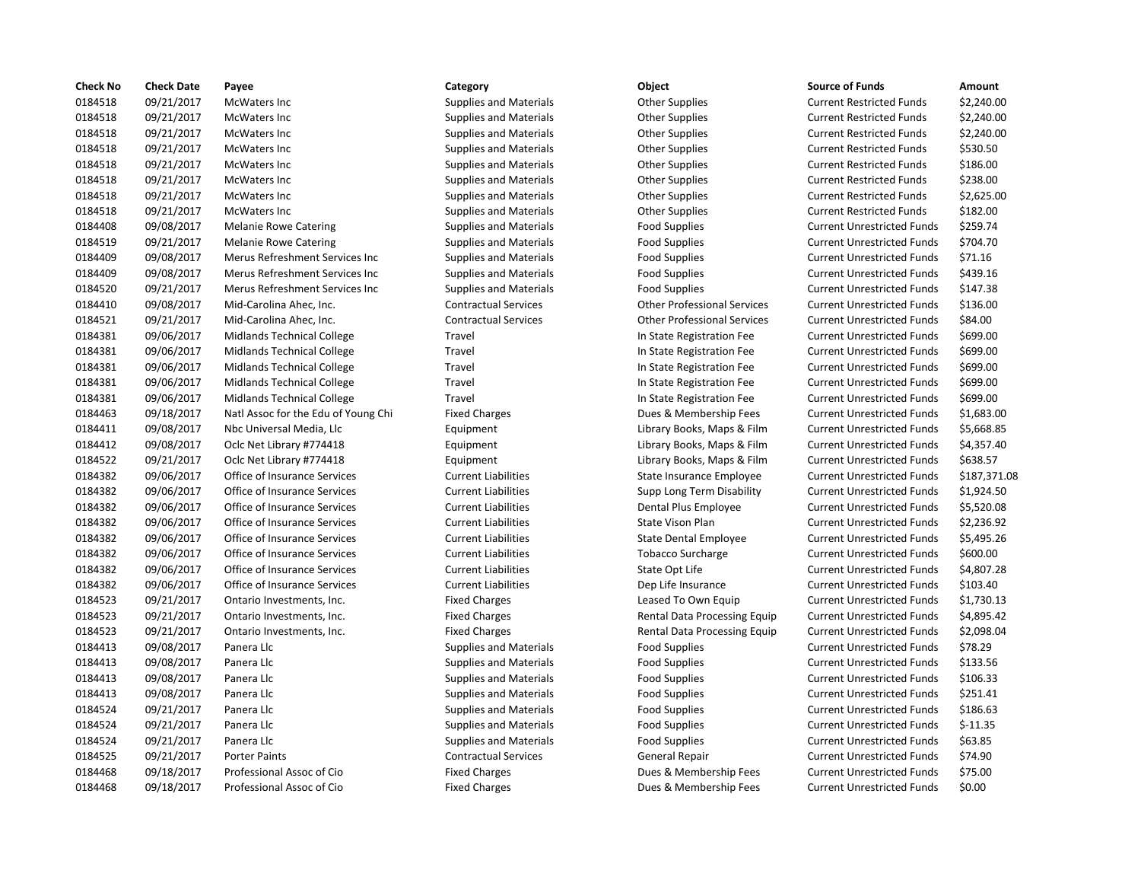| <b>Check No</b> | <b>Check Date</b> | Payee                               | Category                      | <b>Object</b>                      | <b>Source of Funds</b>            | Amount     |
|-----------------|-------------------|-------------------------------------|-------------------------------|------------------------------------|-----------------------------------|------------|
| 0184518         | 09/21/2017        | McWaters Inc                        | <b>Supplies and Materials</b> | <b>Other Supplies</b>              | <b>Current Restricted Funds</b>   | \$2,240.00 |
| 0184518         | 09/21/2017        | McWaters Inc                        | <b>Supplies and Materials</b> | <b>Other Supplies</b>              | <b>Current Restricted Funds</b>   | \$2,240.00 |
| 0184518         | 09/21/2017        | <b>McWaters Inc</b>                 | <b>Supplies and Materials</b> | <b>Other Supplies</b>              | <b>Current Restricted Funds</b>   | \$2,240.00 |
| 0184518         | 09/21/2017        | McWaters Inc                        | <b>Supplies and Materials</b> | <b>Other Supplies</b>              | <b>Current Restricted Funds</b>   | \$530.50   |
| 0184518         | 09/21/2017        | McWaters Inc                        | <b>Supplies and Materials</b> | <b>Other Supplies</b>              | <b>Current Restricted Funds</b>   | \$186.00   |
| 0184518         | 09/21/2017        | McWaters Inc                        | <b>Supplies and Materials</b> | <b>Other Supplies</b>              | <b>Current Restricted Funds</b>   | \$238.00   |
| 0184518         | 09/21/2017        | McWaters Inc                        | <b>Supplies and Materials</b> | <b>Other Supplies</b>              | <b>Current Restricted Funds</b>   | \$2,625.00 |
| 0184518         | 09/21/2017        | McWaters Inc                        | <b>Supplies and Materials</b> | <b>Other Supplies</b>              | <b>Current Restricted Funds</b>   | \$182.00   |
| 0184408         | 09/08/2017        | <b>Melanie Rowe Catering</b>        | <b>Supplies and Materials</b> | <b>Food Supplies</b>               | <b>Current Unrestricted Funds</b> | \$259.74   |
| 0184519         | 09/21/2017        | <b>Melanie Rowe Catering</b>        | <b>Supplies and Materials</b> | <b>Food Supplies</b>               | <b>Current Unrestricted Funds</b> | \$704.70   |
| 0184409         | 09/08/2017        | Merus Refreshment Services Inc      | <b>Supplies and Materials</b> | <b>Food Supplies</b>               | <b>Current Unrestricted Funds</b> | \$71.16    |
| 0184409         | 09/08/2017        | Merus Refreshment Services Inc      | <b>Supplies and Materials</b> | <b>Food Supplies</b>               | <b>Current Unrestricted Funds</b> | \$439.16   |
| 0184520         | 09/21/2017        | Merus Refreshment Services Inc      | <b>Supplies and Materials</b> | <b>Food Supplies</b>               | <b>Current Unrestricted Funds</b> | \$147.38   |
| 0184410         | 09/08/2017        | Mid-Carolina Ahec, Inc.             | <b>Contractual Services</b>   | <b>Other Professional Services</b> | <b>Current Unrestricted Funds</b> | \$136.00   |
| 0184521         | 09/21/2017        | Mid-Carolina Ahec, Inc.             | <b>Contractual Services</b>   | <b>Other Professional Services</b> | <b>Current Unrestricted Funds</b> | \$84.00    |
| 0184381         | 09/06/2017        | Midlands Technical College          | Travel                        | In State Registration Fee          | <b>Current Unrestricted Funds</b> | \$699.00   |
| 0184381         | 09/06/2017        | Midlands Technical College          | Travel                        | In State Registration Fee          | <b>Current Unrestricted Funds</b> | \$699.00   |
| 0184381         | 09/06/2017        | Midlands Technical College          | Travel                        | In State Registration Fee          | <b>Current Unrestricted Funds</b> | \$699.00   |
| 0184381         | 09/06/2017        | Midlands Technical College          | Travel                        | In State Registration Fee          | <b>Current Unrestricted Funds</b> | \$699.00   |
| 0184381         | 09/06/2017        | Midlands Technical College          | Travel                        | In State Registration Fee          | <b>Current Unrestricted Funds</b> | \$699.00   |
| 0184463         | 09/18/2017        | Natl Assoc for the Edu of Young Chi | <b>Fixed Charges</b>          | Dues & Membership Fees             | <b>Current Unrestricted Funds</b> | \$1,683.00 |
| 0184411         | 09/08/2017        | Nbc Universal Media, Llc            | Equipment                     | Library Books, Maps & Film         | <b>Current Unrestricted Funds</b> | \$5,668.85 |
| 0184412         | 09/08/2017        | Oclc Net Library #774418            | Equipment                     | Library Books, Maps & Film         | <b>Current Unrestricted Funds</b> | \$4,357.40 |
| 0184522         | 09/21/2017        | Oclc Net Library #774418            | Equipment                     | Library Books, Maps & Film         | <b>Current Unrestricted Funds</b> | \$638.57   |
| 0184382         | 09/06/2017        | Office of Insurance Services        | <b>Current Liabilities</b>    | State Insurance Employee           | <b>Current Unrestricted Funds</b> | \$187,371. |
| 0184382         | 09/06/2017        | Office of Insurance Services        | <b>Current Liabilities</b>    | Supp Long Term Disability          | <b>Current Unrestricted Funds</b> | \$1,924.50 |
| 0184382         | 09/06/2017        | Office of Insurance Services        | <b>Current Liabilities</b>    | Dental Plus Employee               | <b>Current Unrestricted Funds</b> | \$5,520.08 |
| 0184382         | 09/06/2017        | Office of Insurance Services        | <b>Current Liabilities</b>    | State Vison Plan                   | <b>Current Unrestricted Funds</b> | \$2,236.92 |
| 0184382         | 09/06/2017        | Office of Insurance Services        | <b>Current Liabilities</b>    | <b>State Dental Employee</b>       | <b>Current Unrestricted Funds</b> | \$5,495.26 |
| 0184382         | 09/06/2017        | Office of Insurance Services        | <b>Current Liabilities</b>    | <b>Tobacco Surcharge</b>           | <b>Current Unrestricted Funds</b> | \$600.00   |
| 0184382         | 09/06/2017        | Office of Insurance Services        | <b>Current Liabilities</b>    | State Opt Life                     | <b>Current Unrestricted Funds</b> | \$4,807.28 |
| 0184382         | 09/06/2017        | Office of Insurance Services        | <b>Current Liabilities</b>    | Dep Life Insurance                 | <b>Current Unrestricted Funds</b> | \$103.40   |
| 0184523         | 09/21/2017        | Ontario Investments, Inc.           | <b>Fixed Charges</b>          | Leased To Own Equip                | <b>Current Unrestricted Funds</b> | \$1,730.13 |
| 0184523         | 09/21/2017        | Ontario Investments, Inc.           | <b>Fixed Charges</b>          | Rental Data Processing Equip       | <b>Current Unrestricted Funds</b> | \$4,895.42 |
| 0184523         | 09/21/2017        | Ontario Investments, Inc.           | <b>Fixed Charges</b>          | Rental Data Processing Equip       | <b>Current Unrestricted Funds</b> | \$2,098.04 |
| 0184413         | 09/08/2017        | Panera Llc                          | <b>Supplies and Materials</b> | Food Supplies                      | <b>Current Unrestricted Funds</b> | \$78.29    |
| 0184413         | 09/08/2017        | Panera Llc                          | <b>Supplies and Materials</b> | <b>Food Supplies</b>               | <b>Current Unrestricted Funds</b> | \$133.56   |
| 0184413         | 09/08/2017        | Panera Llc                          | <b>Supplies and Materials</b> | <b>Food Supplies</b>               | <b>Current Unrestricted Funds</b> | \$106.33   |
| 0184413         | 09/08/2017        | Panera Llc                          | <b>Supplies and Materials</b> | <b>Food Supplies</b>               | <b>Current Unrestricted Funds</b> | \$251.41   |
| 0184524         | 09/21/2017        | Panera Llc                          | <b>Supplies and Materials</b> | <b>Food Supplies</b>               | <b>Current Unrestricted Funds</b> | \$186.63   |
| 0184524         | 09/21/2017        | Panera Llc                          | <b>Supplies and Materials</b> | Food Supplies                      | <b>Current Unrestricted Funds</b> | $$-11.35$  |
| 0184524         | 09/21/2017        | Panera Llc                          | <b>Supplies and Materials</b> | <b>Food Supplies</b>               | <b>Current Unrestricted Funds</b> | \$63.85    |
| 0184525         | 09/21/2017        | <b>Porter Paints</b>                | <b>Contractual Services</b>   | <b>General Repair</b>              | <b>Current Unrestricted Funds</b> | \$74.90    |
| 0184468         | 09/18/2017        | Professional Assoc of Cio           | <b>Fixed Charges</b>          | Dues & Membership Fees             | <b>Current Unrestricted Funds</b> | \$75.00    |
| 0184468         | 09/18/2017        | Professional Assoc of Cio           | <b>Fixed Charges</b>          | Dues & Membership Fees             | <b>Current Unrestricted Funds</b> | \$0.00     |
|                 |                   |                                     |                               |                                    |                                   |            |

# Fixed Charges **1974 Dues & Membership Fees** Current Unrestricted Funds \$0.00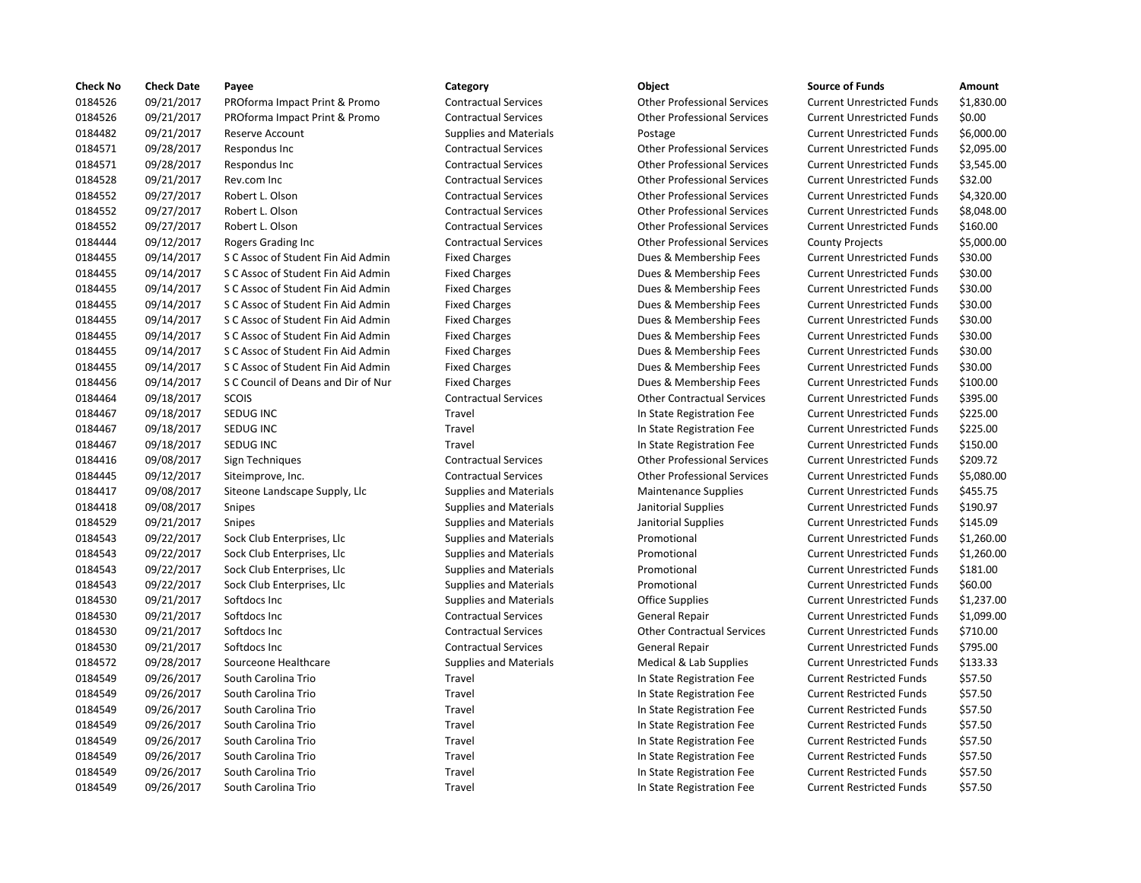| <b>Check No</b> | <b>Check Date</b> | Payee                               | Category                      | Object                             | <b>Source of Funds</b>            | Amount    |
|-----------------|-------------------|-------------------------------------|-------------------------------|------------------------------------|-----------------------------------|-----------|
| 0184526         | 09/21/2017        | PROforma Impact Print & Promo       | <b>Contractual Services</b>   | <b>Other Professional Services</b> | <b>Current Unrestricted Funds</b> | \$1,830.0 |
| 0184526         | 09/21/2017        | PROforma Impact Print & Promo       | <b>Contractual Services</b>   | <b>Other Professional Services</b> | <b>Current Unrestricted Funds</b> | \$0.00    |
| 0184482         | 09/21/2017        | Reserve Account                     | <b>Supplies and Materials</b> | Postage                            | <b>Current Unrestricted Funds</b> | \$6,000.0 |
| 0184571         | 09/28/2017        | Respondus Inc                       | <b>Contractual Services</b>   | <b>Other Professional Services</b> | <b>Current Unrestricted Funds</b> | \$2,095.0 |
| 0184571         | 09/28/2017        | Respondus Inc                       | <b>Contractual Services</b>   | <b>Other Professional Services</b> | <b>Current Unrestricted Funds</b> | \$3,545.0 |
| 0184528         | 09/21/2017        | Rev.com Inc                         | <b>Contractual Services</b>   | <b>Other Professional Services</b> | <b>Current Unrestricted Funds</b> | \$32.00   |
| 0184552         | 09/27/2017        | Robert L. Olson                     | <b>Contractual Services</b>   | <b>Other Professional Services</b> | <b>Current Unrestricted Funds</b> | \$4,320.0 |
| 0184552         | 09/27/2017        | Robert L. Olson                     | <b>Contractual Services</b>   | <b>Other Professional Services</b> | <b>Current Unrestricted Funds</b> | \$8,048.0 |
| 0184552         | 09/27/2017        | Robert L. Olson                     | <b>Contractual Services</b>   | <b>Other Professional Services</b> | <b>Current Unrestricted Funds</b> | \$160.00  |
| 0184444         | 09/12/2017        | Rogers Grading Inc                  | <b>Contractual Services</b>   | <b>Other Professional Services</b> | <b>County Projects</b>            | \$5,000.0 |
| 0184455         | 09/14/2017        | S C Assoc of Student Fin Aid Admin  | <b>Fixed Charges</b>          | Dues & Membership Fees             | <b>Current Unrestricted Funds</b> | \$30.00   |
| 0184455         | 09/14/2017        | S C Assoc of Student Fin Aid Admin  | <b>Fixed Charges</b>          | Dues & Membership Fees             | <b>Current Unrestricted Funds</b> | \$30.00   |
| 0184455         | 09/14/2017        | S C Assoc of Student Fin Aid Admin  | <b>Fixed Charges</b>          | Dues & Membership Fees             | <b>Current Unrestricted Funds</b> | \$30.00   |
| 0184455         | 09/14/2017        | S C Assoc of Student Fin Aid Admin  | <b>Fixed Charges</b>          | Dues & Membership Fees             | <b>Current Unrestricted Funds</b> | \$30.00   |
| 0184455         | 09/14/2017        | S C Assoc of Student Fin Aid Admin  | <b>Fixed Charges</b>          | Dues & Membership Fees             | <b>Current Unrestricted Funds</b> | \$30.00   |
| 0184455         | 09/14/2017        | S C Assoc of Student Fin Aid Admin  | <b>Fixed Charges</b>          | Dues & Membership Fees             | <b>Current Unrestricted Funds</b> | \$30.00   |
| 0184455         | 09/14/2017        | S C Assoc of Student Fin Aid Admin  | <b>Fixed Charges</b>          | Dues & Membership Fees             | <b>Current Unrestricted Funds</b> | \$30.00   |
| 0184455         | 09/14/2017        | S C Assoc of Student Fin Aid Admin  | <b>Fixed Charges</b>          | Dues & Membership Fees             | <b>Current Unrestricted Funds</b> | \$30.00   |
| 0184456         | 09/14/2017        | S C Council of Deans and Dir of Nur | <b>Fixed Charges</b>          | Dues & Membership Fees             | <b>Current Unrestricted Funds</b> | \$100.00  |
| 0184464         | 09/18/2017        | <b>SCOIS</b>                        | <b>Contractual Services</b>   | <b>Other Contractual Services</b>  | <b>Current Unrestricted Funds</b> | \$395.00  |
| 0184467         | 09/18/2017        | SEDUG INC                           | Travel                        | In State Registration Fee          | <b>Current Unrestricted Funds</b> | \$225.00  |
| 0184467         | 09/18/2017        | SEDUG INC                           | Travel                        | In State Registration Fee          | <b>Current Unrestricted Funds</b> | \$225.00  |
| 0184467         | 09/18/2017        | SEDUG INC                           | Travel                        | In State Registration Fee          | <b>Current Unrestricted Funds</b> | \$150.00  |
| 0184416         | 09/08/2017        | Sign Techniques                     | <b>Contractual Services</b>   | <b>Other Professional Services</b> | <b>Current Unrestricted Funds</b> | \$209.72  |
| 0184445         | 09/12/2017        | Siteimprove, Inc.                   | <b>Contractual Services</b>   | <b>Other Professional Services</b> | <b>Current Unrestricted Funds</b> | \$5,080.0 |
| 0184417         | 09/08/2017        | Siteone Landscape Supply, Llc       | <b>Supplies and Materials</b> | <b>Maintenance Supplies</b>        | <b>Current Unrestricted Funds</b> | \$455.75  |
| 0184418         | 09/08/2017        | <b>Snipes</b>                       | <b>Supplies and Materials</b> | Janitorial Supplies                | <b>Current Unrestricted Funds</b> | \$190.97  |
| 0184529         | 09/21/2017        | Snipes                              | <b>Supplies and Materials</b> | Janitorial Supplies                | <b>Current Unrestricted Funds</b> | \$145.09  |
| 0184543         | 09/22/2017        | Sock Club Enterprises, Llc          | <b>Supplies and Materials</b> | Promotional                        | <b>Current Unrestricted Funds</b> | \$1,260.0 |
| 0184543         | 09/22/2017        | Sock Club Enterprises, Llc          | <b>Supplies and Materials</b> | Promotional                        | <b>Current Unrestricted Funds</b> | \$1,260.0 |
| 0184543         | 09/22/2017        | Sock Club Enterprises, Llc          | <b>Supplies and Materials</b> | Promotional                        | <b>Current Unrestricted Funds</b> | \$181.00  |
| 0184543         | 09/22/2017        | Sock Club Enterprises, Llc          | <b>Supplies and Materials</b> | Promotional                        | <b>Current Unrestricted Funds</b> | \$60.00   |
| 0184530         | 09/21/2017        | Softdocs Inc                        | <b>Supplies and Materials</b> | <b>Office Supplies</b>             | <b>Current Unrestricted Funds</b> | \$1,237.0 |
| 0184530         | 09/21/2017        | Softdocs Inc                        | <b>Contractual Services</b>   | General Repair                     | <b>Current Unrestricted Funds</b> | \$1,099.0 |
| 0184530         | 09/21/2017        | Softdocs Inc                        | <b>Contractual Services</b>   | <b>Other Contractual Services</b>  | <b>Current Unrestricted Funds</b> | \$710.00  |
| 0184530         | 09/21/2017        | Softdocs Inc                        | <b>Contractual Services</b>   | General Repair                     | <b>Current Unrestricted Funds</b> | \$795.00  |
| 0184572         | 09/28/2017        | Sourceone Healthcare                | <b>Supplies and Materials</b> | Medical & Lab Supplies             | <b>Current Unrestricted Funds</b> | \$133.33  |
| 0184549         | 09/26/2017        | South Carolina Trio                 | Travel                        | In State Registration Fee          | <b>Current Restricted Funds</b>   | \$57.50   |
| 0184549         | 09/26/2017        | South Carolina Trio                 | Travel                        | In State Registration Fee          | <b>Current Restricted Funds</b>   | \$57.50   |
| 0184549         | 09/26/2017        | South Carolina Trio                 | Travel                        | In State Registration Fee          | <b>Current Restricted Funds</b>   | \$57.50   |
| 0184549         | 09/26/2017        | South Carolina Trio                 | Travel                        | In State Registration Fee          | <b>Current Restricted Funds</b>   | \$57.50   |
| 0184549         | 09/26/2017        | South Carolina Trio                 | Travel                        | In State Registration Fee          | <b>Current Restricted Funds</b>   | \$57.50   |
| 0184549         | 09/26/2017        | South Carolina Trio                 | Travel                        | In State Registration Fee          | <b>Current Restricted Funds</b>   | \$57.50   |
| 0184549         | 09/26/2017        | South Carolina Trio                 | Travel                        | In State Registration Fee          | <b>Current Restricted Funds</b>   | \$57.50   |
| 0184549         | 09/26/2017        | South Carolina Trio                 | Travel                        | In State Registration Fee          | <b>Current Restricted Funds</b>   | \$57.50   |
|                 |                   |                                     |                               |                                    |                                   |           |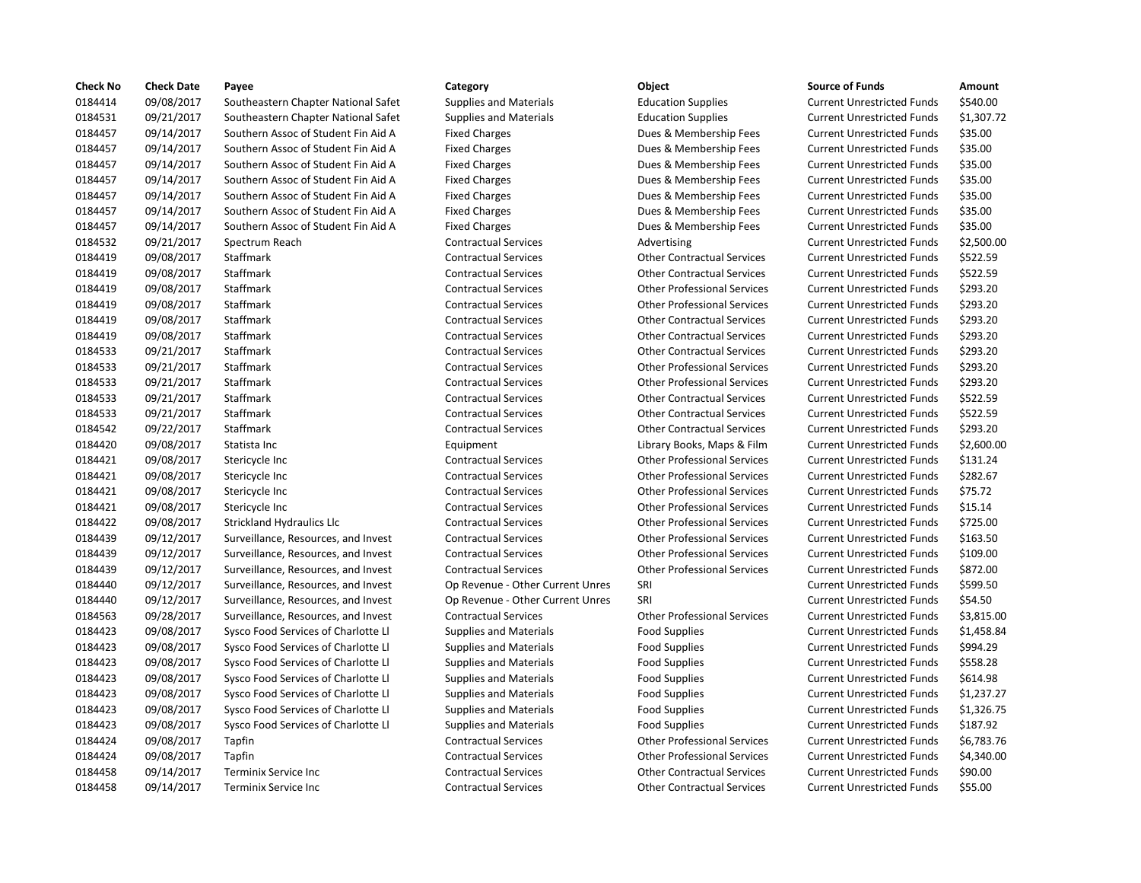| <b>Check No</b> | <b>Check Date</b> | Payee                               | Category                         | Object                             | <b>Source of Funds</b>            | Amount    |
|-----------------|-------------------|-------------------------------------|----------------------------------|------------------------------------|-----------------------------------|-----------|
| 0184414         | 09/08/2017        | Southeastern Chapter National Safet | <b>Supplies and Materials</b>    | <b>Education Supplies</b>          | <b>Current Unrestricted Funds</b> | \$540.00  |
| 0184531         | 09/21/2017        | Southeastern Chapter National Safet | <b>Supplies and Materials</b>    | <b>Education Supplies</b>          | <b>Current Unrestricted Funds</b> | \$1,307.7 |
| 0184457         | 09/14/2017        | Southern Assoc of Student Fin Aid A | <b>Fixed Charges</b>             | Dues & Membership Fees             | <b>Current Unrestricted Funds</b> | \$35.00   |
| 0184457         | 09/14/2017        | Southern Assoc of Student Fin Aid A | <b>Fixed Charges</b>             | Dues & Membership Fees             | <b>Current Unrestricted Funds</b> | \$35.00   |
| 0184457         | 09/14/2017        | Southern Assoc of Student Fin Aid A | <b>Fixed Charges</b>             | Dues & Membership Fees             | <b>Current Unrestricted Funds</b> | \$35.00   |
| 0184457         | 09/14/2017        | Southern Assoc of Student Fin Aid A | <b>Fixed Charges</b>             | Dues & Membership Fees             | <b>Current Unrestricted Funds</b> | \$35.00   |
| 0184457         | 09/14/2017        | Southern Assoc of Student Fin Aid A | <b>Fixed Charges</b>             | Dues & Membership Fees             | <b>Current Unrestricted Funds</b> | \$35.00   |
| 0184457         | 09/14/2017        | Southern Assoc of Student Fin Aid A | <b>Fixed Charges</b>             | Dues & Membership Fees             | <b>Current Unrestricted Funds</b> | \$35.00   |
| 0184457         | 09/14/2017        | Southern Assoc of Student Fin Aid A | <b>Fixed Charges</b>             | Dues & Membership Fees             | <b>Current Unrestricted Funds</b> | \$35.00   |
| 0184532         | 09/21/2017        | Spectrum Reach                      | <b>Contractual Services</b>      | Advertising                        | <b>Current Unrestricted Funds</b> | \$2,500.0 |
| 0184419         | 09/08/2017        | Staffmark                           | <b>Contractual Services</b>      | <b>Other Contractual Services</b>  | <b>Current Unrestricted Funds</b> | \$522.59  |
| 0184419         | 09/08/2017        | Staffmark                           | <b>Contractual Services</b>      | <b>Other Contractual Services</b>  | <b>Current Unrestricted Funds</b> | \$522.59  |
| 0184419         | 09/08/2017        | Staffmark                           | <b>Contractual Services</b>      | <b>Other Professional Services</b> | <b>Current Unrestricted Funds</b> | \$293.20  |
| 0184419         | 09/08/2017        | Staffmark                           | <b>Contractual Services</b>      | <b>Other Professional Services</b> | <b>Current Unrestricted Funds</b> | \$293.20  |
| 0184419         | 09/08/2017        | Staffmark                           | <b>Contractual Services</b>      | <b>Other Contractual Services</b>  | <b>Current Unrestricted Funds</b> | \$293.20  |
| 0184419         | 09/08/2017        | Staffmark                           | <b>Contractual Services</b>      | <b>Other Contractual Services</b>  | <b>Current Unrestricted Funds</b> | \$293.20  |
| 0184533         | 09/21/2017        | Staffmark                           | <b>Contractual Services</b>      | <b>Other Contractual Services</b>  | <b>Current Unrestricted Funds</b> | \$293.20  |
| 0184533         | 09/21/2017        | Staffmark                           | <b>Contractual Services</b>      | <b>Other Professional Services</b> | <b>Current Unrestricted Funds</b> | \$293.20  |
| 0184533         | 09/21/2017        | Staffmark                           | <b>Contractual Services</b>      | <b>Other Professional Services</b> | <b>Current Unrestricted Funds</b> | \$293.20  |
| 0184533         | 09/21/2017        | Staffmark                           | <b>Contractual Services</b>      | <b>Other Contractual Services</b>  | <b>Current Unrestricted Funds</b> | \$522.59  |
| 0184533         | 09/21/2017        | Staffmark                           | <b>Contractual Services</b>      | <b>Other Contractual Services</b>  | <b>Current Unrestricted Funds</b> | \$522.59  |
| 0184542         | 09/22/2017        | Staffmark                           | <b>Contractual Services</b>      | <b>Other Contractual Services</b>  | <b>Current Unrestricted Funds</b> | \$293.20  |
| 0184420         | 09/08/2017        | Statista Inc                        | Equipment                        | Library Books, Maps & Film         | <b>Current Unrestricted Funds</b> | \$2,600.0 |
| 0184421         | 09/08/2017        | Stericycle Inc                      | <b>Contractual Services</b>      | <b>Other Professional Services</b> | <b>Current Unrestricted Funds</b> | \$131.24  |
| 0184421         | 09/08/2017        | Stericycle Inc                      | <b>Contractual Services</b>      | <b>Other Professional Services</b> | <b>Current Unrestricted Funds</b> | \$282.67  |
| 0184421         | 09/08/2017        | Stericycle Inc                      | <b>Contractual Services</b>      | <b>Other Professional Services</b> | <b>Current Unrestricted Funds</b> | \$75.72   |
| 0184421         | 09/08/2017        | Stericycle Inc                      | <b>Contractual Services</b>      | <b>Other Professional Services</b> | <b>Current Unrestricted Funds</b> | \$15.14   |
| 0184422         | 09/08/2017        | <b>Strickland Hydraulics Llc</b>    | <b>Contractual Services</b>      | <b>Other Professional Services</b> | <b>Current Unrestricted Funds</b> | \$725.00  |
| 0184439         | 09/12/2017        | Surveillance, Resources, and Invest | <b>Contractual Services</b>      | <b>Other Professional Services</b> | <b>Current Unrestricted Funds</b> | \$163.50  |
| 0184439         | 09/12/2017        | Surveillance, Resources, and Invest | <b>Contractual Services</b>      | <b>Other Professional Services</b> | <b>Current Unrestricted Funds</b> | \$109.00  |
| 0184439         | 09/12/2017        | Surveillance, Resources, and Invest | <b>Contractual Services</b>      | <b>Other Professional Services</b> | <b>Current Unrestricted Funds</b> | \$872.00  |
| 0184440         | 09/12/2017        | Surveillance, Resources, and Invest | Op Revenue - Other Current Unres | SRI                                | <b>Current Unrestricted Funds</b> | \$599.50  |
| 0184440         | 09/12/2017        | Surveillance, Resources, and Invest | Op Revenue - Other Current Unres | SRI                                | <b>Current Unrestricted Funds</b> | \$54.50   |
| 0184563         | 09/28/2017        | Surveillance, Resources, and Invest | <b>Contractual Services</b>      | <b>Other Professional Services</b> | <b>Current Unrestricted Funds</b> | \$3,815.0 |
| 0184423         | 09/08/2017        | Sysco Food Services of Charlotte Ll | <b>Supplies and Materials</b>    | <b>Food Supplies</b>               | <b>Current Unrestricted Funds</b> | \$1,458.8 |
| 0184423         | 09/08/2017        | Sysco Food Services of Charlotte Ll | <b>Supplies and Materials</b>    | <b>Food Supplies</b>               | <b>Current Unrestricted Funds</b> | \$994.29  |
| 0184423         | 09/08/2017        | Sysco Food Services of Charlotte Ll | <b>Supplies and Materials</b>    | <b>Food Supplies</b>               | <b>Current Unrestricted Funds</b> | \$558.28  |
| 0184423         | 09/08/2017        | Sysco Food Services of Charlotte Ll | <b>Supplies and Materials</b>    | <b>Food Supplies</b>               | <b>Current Unrestricted Funds</b> | \$614.98  |
| 0184423         | 09/08/2017        | Sysco Food Services of Charlotte Ll | <b>Supplies and Materials</b>    | <b>Food Supplies</b>               | <b>Current Unrestricted Funds</b> | \$1,237.2 |
| 0184423         | 09/08/2017        | Sysco Food Services of Charlotte Ll | <b>Supplies and Materials</b>    | <b>Food Supplies</b>               | <b>Current Unrestricted Funds</b> | \$1,326.7 |
| 0184423         | 09/08/2017        | Sysco Food Services of Charlotte Ll | <b>Supplies and Materials</b>    | <b>Food Supplies</b>               | <b>Current Unrestricted Funds</b> | \$187.92  |
| 0184424         | 09/08/2017        | Tapfin                              | <b>Contractual Services</b>      | <b>Other Professional Services</b> | <b>Current Unrestricted Funds</b> | \$6,783.7 |
| 0184424         | 09/08/2017        | Tapfin                              | <b>Contractual Services</b>      | <b>Other Professional Services</b> | <b>Current Unrestricted Funds</b> | \$4,340.0 |
| 0184458         | 09/14/2017        | Terminix Service Inc                | <b>Contractual Services</b>      | <b>Other Contractual Services</b>  | <b>Current Unrestricted Funds</b> | \$90.00   |
| 0184458         | 09/14/2017        | Terminix Service Inc                | <b>Contractual Services</b>      | <b>Other Contractual Services</b>  | <b>Current Unrestricted Funds</b> | \$55.00   |
|                 |                   |                                     |                                  |                                    |                                   |           |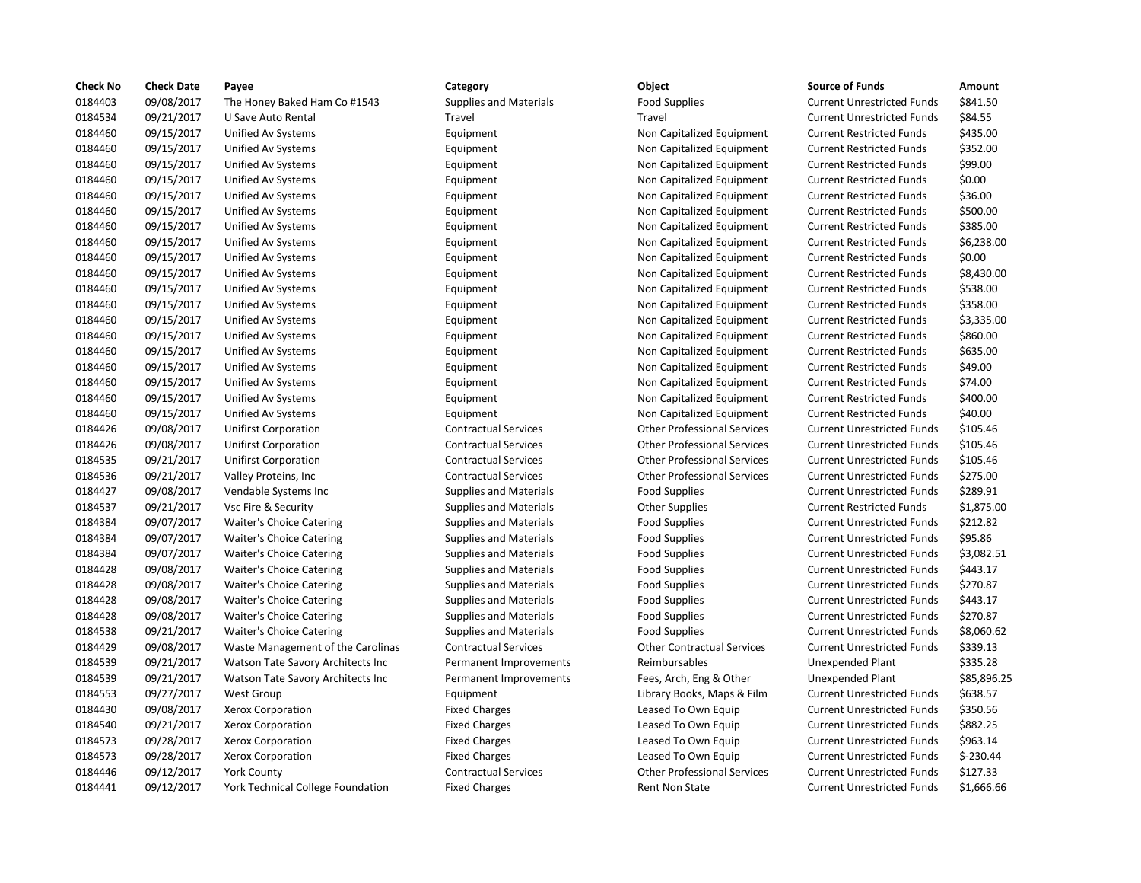| <b>Check No</b> | <b>Check Date</b> | Payee                             | Category                      | Object                             | <b>Source of Funds</b>            | Amount     |
|-----------------|-------------------|-----------------------------------|-------------------------------|------------------------------------|-----------------------------------|------------|
| 0184403         | 09/08/2017        | The Honey Baked Ham Co #1543      | <b>Supplies and Materials</b> | <b>Food Supplies</b>               | <b>Current Unrestricted Funds</b> | \$841.50   |
| 0184534         | 09/21/2017        | U Save Auto Rental                | Travel                        | Travel                             | <b>Current Unrestricted Funds</b> | \$84.55    |
| 0184460         | 09/15/2017        | Unified Av Systems                | Equipment                     | Non Capitalized Equipment          | <b>Current Restricted Funds</b>   | \$435.00   |
| 0184460         | 09/15/2017        | Unified Av Systems                | Equipment                     | Non Capitalized Equipment          | <b>Current Restricted Funds</b>   | \$352.00   |
| 0184460         | 09/15/2017        | Unified Av Systems                | Equipment                     | Non Capitalized Equipment          | <b>Current Restricted Funds</b>   | \$99.00    |
| 0184460         | 09/15/2017        | Unified Av Systems                | Equipment                     | Non Capitalized Equipment          | <b>Current Restricted Funds</b>   | \$0.00     |
| 0184460         | 09/15/2017        | Unified Av Systems                | Equipment                     | Non Capitalized Equipment          | <b>Current Restricted Funds</b>   | \$36.00    |
| 0184460         | 09/15/2017        | Unified Av Systems                | Equipment                     | Non Capitalized Equipment          | <b>Current Restricted Funds</b>   | \$500.00   |
| 0184460         | 09/15/2017        | Unified Av Systems                | Equipment                     | Non Capitalized Equipment          | <b>Current Restricted Funds</b>   | \$385.00   |
| 0184460         | 09/15/2017        | Unified Av Systems                | Equipment                     | Non Capitalized Equipment          | <b>Current Restricted Funds</b>   | \$6,238.0  |
| 0184460         | 09/15/2017        | Unified Av Systems                | Equipment                     | Non Capitalized Equipment          | <b>Current Restricted Funds</b>   | \$0.00     |
| 0184460         | 09/15/2017        | Unified Av Systems                | Equipment                     | Non Capitalized Equipment          | <b>Current Restricted Funds</b>   | \$8,430.0  |
| 0184460         | 09/15/2017        | Unified Av Systems                | Equipment                     | Non Capitalized Equipment          | <b>Current Restricted Funds</b>   | \$538.00   |
| 0184460         | 09/15/2017        | Unified Av Systems                | Equipment                     | Non Capitalized Equipment          | <b>Current Restricted Funds</b>   | \$358.00   |
| 0184460         | 09/15/2017        | Unified Av Systems                | Equipment                     | Non Capitalized Equipment          | <b>Current Restricted Funds</b>   | \$3,335.0  |
| 0184460         | 09/15/2017        | Unified Av Systems                | Equipment                     | Non Capitalized Equipment          | <b>Current Restricted Funds</b>   | \$860.00   |
| 0184460         | 09/15/2017        | Unified Av Systems                | Equipment                     | Non Capitalized Equipment          | <b>Current Restricted Funds</b>   | \$635.00   |
| 0184460         | 09/15/2017        | Unified Av Systems                | Equipment                     | Non Capitalized Equipment          | <b>Current Restricted Funds</b>   | \$49.00    |
| 0184460         | 09/15/2017        | Unified Av Systems                | Equipment                     | Non Capitalized Equipment          | <b>Current Restricted Funds</b>   | \$74.00    |
| 0184460         | 09/15/2017        | Unified Av Systems                | Equipment                     | Non Capitalized Equipment          | <b>Current Restricted Funds</b>   | \$400.00   |
| 0184460         | 09/15/2017        | Unified Av Systems                | Equipment                     | Non Capitalized Equipment          | <b>Current Restricted Funds</b>   | \$40.00    |
| 0184426         | 09/08/2017        | <b>Unifirst Corporation</b>       | <b>Contractual Services</b>   | <b>Other Professional Services</b> | <b>Current Unrestricted Funds</b> | \$105.46   |
| 0184426         | 09/08/2017        | Unifirst Corporation              | <b>Contractual Services</b>   | <b>Other Professional Services</b> | <b>Current Unrestricted Funds</b> | \$105.46   |
| 0184535         | 09/21/2017        | <b>Unifirst Corporation</b>       | <b>Contractual Services</b>   | <b>Other Professional Services</b> | <b>Current Unrestricted Funds</b> | \$105.46   |
| 0184536         | 09/21/2017        | Valley Proteins, Inc              | <b>Contractual Services</b>   | <b>Other Professional Services</b> | <b>Current Unrestricted Funds</b> | \$275.00   |
| 0184427         | 09/08/2017        | Vendable Systems Inc              | <b>Supplies and Materials</b> | <b>Food Supplies</b>               | <b>Current Unrestricted Funds</b> | \$289.91   |
| 0184537         | 09/21/2017        | Vsc Fire & Security               | <b>Supplies and Materials</b> | <b>Other Supplies</b>              | <b>Current Restricted Funds</b>   | \$1,875.0  |
| 0184384         | 09/07/2017        | <b>Waiter's Choice Catering</b>   | <b>Supplies and Materials</b> | <b>Food Supplies</b>               | <b>Current Unrestricted Funds</b> | \$212.82   |
| 0184384         | 09/07/2017        | <b>Waiter's Choice Catering</b>   | <b>Supplies and Materials</b> | <b>Food Supplies</b>               | <b>Current Unrestricted Funds</b> | \$95.86    |
| 0184384         | 09/07/2017        | Waiter's Choice Catering          | <b>Supplies and Materials</b> | <b>Food Supplies</b>               | <b>Current Unrestricted Funds</b> | \$3,082.5  |
| 0184428         | 09/08/2017        | <b>Waiter's Choice Catering</b>   | <b>Supplies and Materials</b> | <b>Food Supplies</b>               | <b>Current Unrestricted Funds</b> | \$443.17   |
| 0184428         | 09/08/2017        | <b>Waiter's Choice Catering</b>   | <b>Supplies and Materials</b> | <b>Food Supplies</b>               | <b>Current Unrestricted Funds</b> | \$270.87   |
| 0184428         | 09/08/2017        | <b>Waiter's Choice Catering</b>   | <b>Supplies and Materials</b> | <b>Food Supplies</b>               | <b>Current Unrestricted Funds</b> | \$443.17   |
| 0184428         | 09/08/2017        | <b>Waiter's Choice Catering</b>   | <b>Supplies and Materials</b> | <b>Food Supplies</b>               | <b>Current Unrestricted Funds</b> | \$270.87   |
| 0184538         | 09/21/2017        | <b>Waiter's Choice Catering</b>   | <b>Supplies and Materials</b> | <b>Food Supplies</b>               | <b>Current Unrestricted Funds</b> | \$8,060.6  |
| 0184429         | 09/08/2017        | Waste Management of the Carolinas | <b>Contractual Services</b>   | <b>Other Contractual Services</b>  | <b>Current Unrestricted Funds</b> | \$339.13   |
| 0184539         | 09/21/2017        | Watson Tate Savory Architects Inc | Permanent Improvements        | Reimbursables                      | <b>Unexpended Plant</b>           | \$335.28   |
| 0184539         | 09/21/2017        | Watson Tate Savory Architects Inc | Permanent Improvements        | Fees, Arch, Eng & Other            | <b>Unexpended Plant</b>           | \$85,896   |
| 0184553         | 09/27/2017        | West Group                        | Equipment                     | Library Books, Maps & Film         | <b>Current Unrestricted Funds</b> | \$638.57   |
| 0184430         | 09/08/2017        | Xerox Corporation                 | <b>Fixed Charges</b>          | Leased To Own Equip                | <b>Current Unrestricted Funds</b> | \$350.56   |
| 0184540         | 09/21/2017        | Xerox Corporation                 | <b>Fixed Charges</b>          | Leased To Own Equip                | <b>Current Unrestricted Funds</b> | \$882.25   |
| 0184573         | 09/28/2017        | Xerox Corporation                 | <b>Fixed Charges</b>          | Leased To Own Equip                | <b>Current Unrestricted Funds</b> | \$963.14   |
| 0184573         | 09/28/2017        | Xerox Corporation                 | <b>Fixed Charges</b>          | Leased To Own Equip                | <b>Current Unrestricted Funds</b> | $$-230.44$ |
| 0184446         | 09/12/2017        | <b>York County</b>                | <b>Contractual Services</b>   | <b>Other Professional Services</b> | <b>Current Unrestricted Funds</b> | \$127.33   |
| 0184441         | 09/12/2017        | York Technical College Foundation | <b>Fixed Charges</b>          | Rent Non State                     | <b>Current Unrestricted Funds</b> | \$1,666.6  |
|                 |                   |                                   |                               |                                    |                                   |            |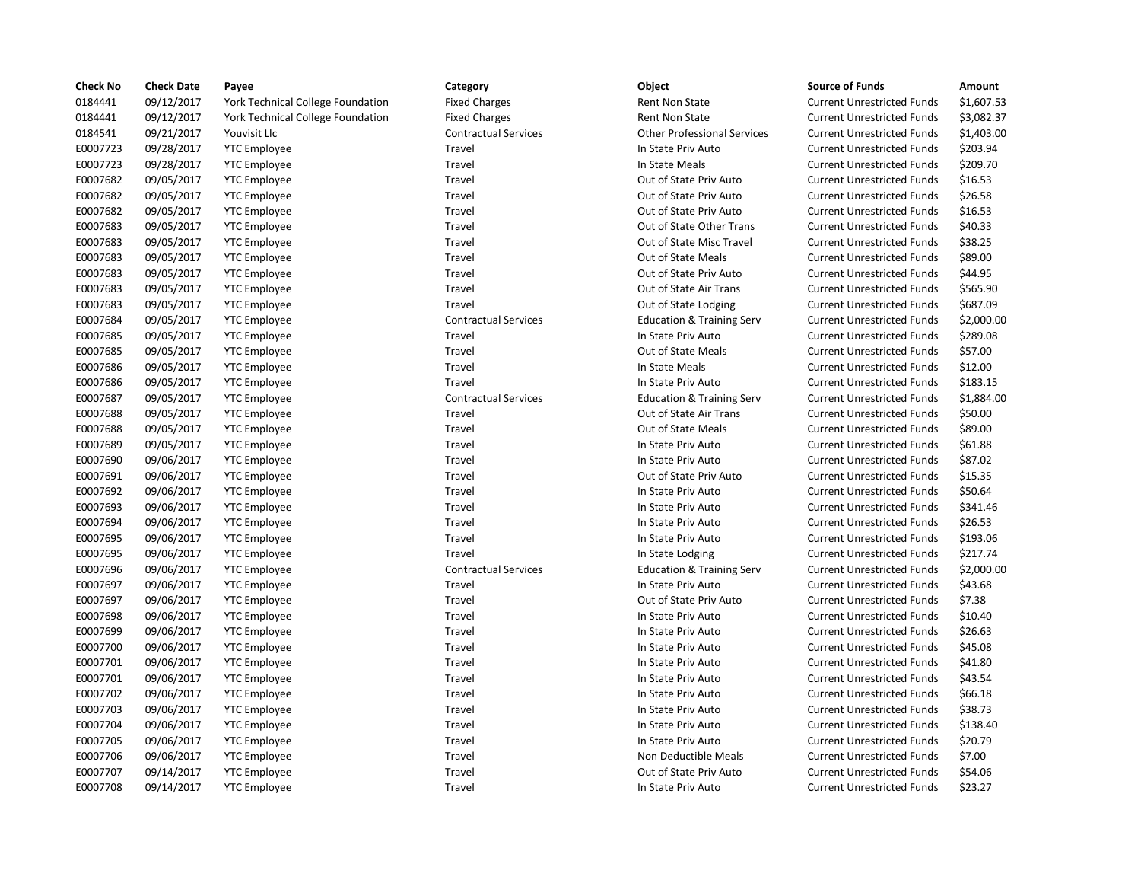| <b>Check No</b> | <b>Check Date</b> | Payee                             | Category                    | Object                               | <b>Source of Funds</b>            | Amount    |
|-----------------|-------------------|-----------------------------------|-----------------------------|--------------------------------------|-----------------------------------|-----------|
| 0184441         | 09/12/2017        | York Technical College Foundation | <b>Fixed Charges</b>        | <b>Rent Non State</b>                | <b>Current Unrestricted Funds</b> | \$1,607.5 |
| 0184441         | 09/12/2017        | York Technical College Foundation | <b>Fixed Charges</b>        | Rent Non State                       | <b>Current Unrestricted Funds</b> | \$3,082.3 |
| 0184541         | 09/21/2017        | Youvisit Llc                      | <b>Contractual Services</b> | <b>Other Professional Services</b>   | <b>Current Unrestricted Funds</b> | \$1,403.0 |
| E0007723        | 09/28/2017        | <b>YTC Employee</b>               | Travel                      | In State Priv Auto                   | <b>Current Unrestricted Funds</b> | \$203.94  |
| E0007723        | 09/28/2017        | <b>YTC Employee</b>               | Travel                      | In State Meals                       | <b>Current Unrestricted Funds</b> | \$209.70  |
| E0007682        | 09/05/2017        | <b>YTC Employee</b>               | Travel                      | Out of State Priv Auto               | <b>Current Unrestricted Funds</b> | \$16.53   |
| E0007682        | 09/05/2017        | <b>YTC</b> Employee               | Travel                      | Out of State Priv Auto               | <b>Current Unrestricted Funds</b> | \$26.58   |
| E0007682        | 09/05/2017        | <b>YTC Employee</b>               | Travel                      | Out of State Priv Auto               | <b>Current Unrestricted Funds</b> | \$16.53   |
| E0007683        | 09/05/2017        | <b>YTC Employee</b>               | Travel                      | Out of State Other Trans             | <b>Current Unrestricted Funds</b> | \$40.33   |
| E0007683        | 09/05/2017        | <b>YTC Employee</b>               | Travel                      | Out of State Misc Travel             | <b>Current Unrestricted Funds</b> | \$38.25   |
| E0007683        | 09/05/2017        | <b>YTC Employee</b>               | Travel                      | Out of State Meals                   | <b>Current Unrestricted Funds</b> | \$89.00   |
| E0007683        | 09/05/2017        | <b>YTC Employee</b>               | Travel                      | Out of State Priv Auto               | <b>Current Unrestricted Funds</b> | \$44.95   |
| E0007683        | 09/05/2017        | <b>YTC Employee</b>               | Travel                      | Out of State Air Trans               | <b>Current Unrestricted Funds</b> | \$565.90  |
| E0007683        | 09/05/2017        | <b>YTC Employee</b>               | Travel                      | Out of State Lodging                 | <b>Current Unrestricted Funds</b> | \$687.09  |
| E0007684        | 09/05/2017        | <b>YTC</b> Employee               | <b>Contractual Services</b> | <b>Education &amp; Training Serv</b> | <b>Current Unrestricted Funds</b> | \$2,000.0 |
| E0007685        | 09/05/2017        | <b>YTC Employee</b>               | Travel                      | In State Priv Auto                   | <b>Current Unrestricted Funds</b> | \$289.08  |
| E0007685        | 09/05/2017        | <b>YTC Employee</b>               | Travel                      | Out of State Meals                   | <b>Current Unrestricted Funds</b> | \$57.00   |
| E0007686        | 09/05/2017        | <b>YTC</b> Employee               | Travel                      | In State Meals                       | <b>Current Unrestricted Funds</b> | \$12.00   |
| E0007686        | 09/05/2017        | <b>YTC Employee</b>               | Travel                      | In State Priv Auto                   | <b>Current Unrestricted Funds</b> | \$183.15  |
| E0007687        | 09/05/2017        | <b>YTC Employee</b>               | <b>Contractual Services</b> | <b>Education &amp; Training Serv</b> | <b>Current Unrestricted Funds</b> | \$1,884.0 |
| E0007688        | 09/05/2017        | <b>YTC Employee</b>               | Travel                      | Out of State Air Trans               | <b>Current Unrestricted Funds</b> | \$50.00   |
| E0007688        | 09/05/2017        | <b>YTC Employee</b>               | Travel                      | Out of State Meals                   | <b>Current Unrestricted Funds</b> | \$89.00   |
| E0007689        | 09/05/2017        | <b>YTC Employee</b>               | Travel                      | In State Priv Auto                   | <b>Current Unrestricted Funds</b> | \$61.88   |
| E0007690        | 09/06/2017        | <b>YTC Employee</b>               | Travel                      | In State Priv Auto                   | <b>Current Unrestricted Funds</b> | \$87.02   |
| E0007691        | 09/06/2017        | <b>YTC Employee</b>               | Travel                      | Out of State Priv Auto               | <b>Current Unrestricted Funds</b> | \$15.35   |
| E0007692        | 09/06/2017        | <b>YTC</b> Employee               | Travel                      | In State Priv Auto                   | <b>Current Unrestricted Funds</b> | \$50.64   |
| E0007693        | 09/06/2017        | <b>YTC Employee</b>               | Travel                      | In State Priv Auto                   | <b>Current Unrestricted Funds</b> | \$341.46  |
| E0007694        | 09/06/2017        | <b>YTC Employee</b>               | Travel                      | In State Priv Auto                   | <b>Current Unrestricted Funds</b> | \$26.53   |
| E0007695        | 09/06/2017        | <b>YTC</b> Employee               | Travel                      | In State Priv Auto                   | <b>Current Unrestricted Funds</b> | \$193.06  |
| E0007695        | 09/06/2017        | <b>YTC</b> Employee               | Travel                      | In State Lodging                     | <b>Current Unrestricted Funds</b> | \$217.74  |
| E0007696        | 09/06/2017        | <b>YTC</b> Employee               | <b>Contractual Services</b> | <b>Education &amp; Training Serv</b> | <b>Current Unrestricted Funds</b> | \$2,000.0 |
| E0007697        | 09/06/2017        | <b>YTC Employee</b>               | Travel                      | In State Priv Auto                   | <b>Current Unrestricted Funds</b> | \$43.68   |
| E0007697        | 09/06/2017        | <b>YTC Employee</b>               | Travel                      | Out of State Priv Auto               | <b>Current Unrestricted Funds</b> | \$7.38    |
| E0007698        | 09/06/2017        | <b>YTC</b> Employee               | Travel                      | In State Priv Auto                   | <b>Current Unrestricted Funds</b> | \$10.40   |
| E0007699        | 09/06/2017        | <b>YTC</b> Employee               | Travel                      | In State Priv Auto                   | <b>Current Unrestricted Funds</b> | \$26.63   |
| E0007700        | 09/06/2017        | <b>YTC Employee</b>               | Travel                      | In State Priv Auto                   | <b>Current Unrestricted Funds</b> | \$45.08   |
| E0007701        | 09/06/2017        | <b>YTC</b> Employee               | Travel                      | In State Priv Auto                   | <b>Current Unrestricted Funds</b> | \$41.80   |
| E0007701        | 09/06/2017        | <b>YTC Employee</b>               | Travel                      | In State Priv Auto                   | <b>Current Unrestricted Funds</b> | \$43.54   |
| E0007702        | 09/06/2017        | <b>YTC Employee</b>               | Travel                      | In State Priv Auto                   | <b>Current Unrestricted Funds</b> | \$66.18   |
| E0007703        | 09/06/2017        | <b>YTC</b> Employee               | Travel                      | In State Priv Auto                   | <b>Current Unrestricted Funds</b> | \$38.73   |
| E0007704        | 09/06/2017        | <b>YTC Employee</b>               | Travel                      | In State Priv Auto                   | <b>Current Unrestricted Funds</b> | \$138.40  |
| E0007705        | 09/06/2017        | <b>YTC Employee</b>               | Travel                      | In State Priv Auto                   | <b>Current Unrestricted Funds</b> | \$20.79   |
| E0007706        | 09/06/2017        | <b>YTC Employee</b>               | Travel                      | Non Deductible Meals                 | <b>Current Unrestricted Funds</b> | \$7.00    |
| E0007707        | 09/14/2017        | <b>YTC Employee</b>               | Travel                      | Out of State Priv Auto               | <b>Current Unrestricted Funds</b> | \$54.06   |
| E0007708        | 09/14/2017        | <b>YTC</b> Employee               | Travel                      | In State Priv Auto                   | <b>Current Unrestricted Funds</b> | \$23.27   |

# Fixed Charges **Fixed Charges** Fixed Current Unrestricted Funds \$1,607.53 Fixed Charges Technical College Foundation Fixed Current Unrestricted Funds \$3,082.37 0184541 09/21/2017 Youvisit Llc Contractual Services Other Professional Services Current Unrestricted Funds \$1,403.00 Travel **EXECO 2007** In State Priv Auto **Current Unrestricted Funds** \$203.94 Travel **Example 2007 Travel In State Meals** Current Unrestricted Funds \$209.70 Travel **EXECUTE:** Out of State Priv Auto Current Unrestricted Funds \$16.53 Travel **EXECORREG 2007682 Out of State Priv Auto** Current Unrestricted Funds \$26.58 Travel **EXECUTE:** Travel Out of State Priv Auto Current Unrestricted Funds \$16.53 Travel **EXECUTE:** Out of State Other Trans Current Unrestricted Funds \$40.33 Travel **EXECUTE:** Out of State Misc Travel Current Unrestricted Funds \$38.25 Travel **EXECUTE:** Travel Current Unrestricted Funds \$89.00 Travel **EXECONTE:** Out of State Priv Auto Current Unrestricted Funds \$44.95 Travel **EXECO 68 CONFERGAGE CONTENT OUT OUT OUT A** Current Unrestricted Funds \$565.90 Travel **EXECUTE:** Travel Cut of State Lodging Current Unrestricted Funds \$687.09 Contractual Services **Education & Training Serv** Current Unrestricted Funds \$2,000.00 Travel **EXECUTE:** In State Priv Auto **Current Unrestricted Funds** \$289.08 Travel **EXECUTE:** Out of State Meals Current Unrestricted Funds \$57.00 Travel **EXECUTE:** In State Meals Current Unrestricted Funds \$12.00 Travel **EXECUTE:** In State Priv Auto **Current Unrestricted Funds** \$183.15 E0007687 09/05/2017 YTC Employee Contractual Services Education & Training Serv Current Unrestricted Funds \$1,884.00 Travel **EXECUTE:** Out of State Air Trans Current Unrestricted Funds \$50.00 Travel **EXECUTE:** Travel Current Unrestricted Funds 589.00 Travel **EXECUTE:** In State Priv Auto **Current Unrestricted Funds** \$61.88 E0007690 09/06/2017 YTC Employee Travel In State Priv Auto Current Unrestricted Funds \$87.02 Travel **EXECONTE:** Out of State Priv Auto Current Unrestricted Funds \$15.35 Travel **EXECUTE:** In State Priv Auto **Current Unrestricted Funds** \$50.64 Travel **End and State Priv Auto Current Unrestricted Funds** \$341.46 E0097694 1007694 1007694 1n State Priv Auto Current Unrestricted Funds \$26.53 E0007695 09/06/2017 YTC Employee Travel In State Priv Auto Current Unrestricted Funds \$193.06 Travel **EXECUTE:** Travel In State Lodging Current Unrestricted Funds \$217.74 E0007696 09/06/2017 YTC Employee Contractual Services Education & Training Serv Current Unrestricted Funds \$2,000.00 Travel **EXECUTE:** In State Priv Auto **Current Unrestricted Funds** \$43.68 Travel **EXECONFEDENT CONTENTS OUT OUT OUT OUT AUTO** Current Unrestricted Funds \$7.38 Travel **EXECUTE:** In State Priv Auto **Current Unrestricted Funds** \$10.40 Travel **EXECO** 1000769 1097 Travel In State Priv Auto Current Unrestricted Funds 526.63 Travel **EXECUTE:** In State Priv Auto **Current Unrestricted Funds** \$45.08 Travel **EXECUTE:** In State Priv Auto **Current Unrestricted Funds** \$41.80 Travel **End and State Priv Auto** Current Unrestricted Funds \$43.54 Travel **EXOCO7702 00072 1007 1202 109 1207 1207** Current Unrestricted Funds \$66.18 Travel **Endow Travel In State Priv Auto** Current Unrestricted Funds \$38.73 Travel **End approximate Travel In State Priv Auto** Current Unrestricted Funds \$138.40 Enavel Travel Travel In State Priv Auto Current Unrestricted Funds \$20.79 Travel **EXECONTE:** Non Deductible Meals Current Unrestricted Funds \$7.00 Travel Travel **EXECUTE:** Out of State Priv Auto Current Unrestricted Funds \$54.06